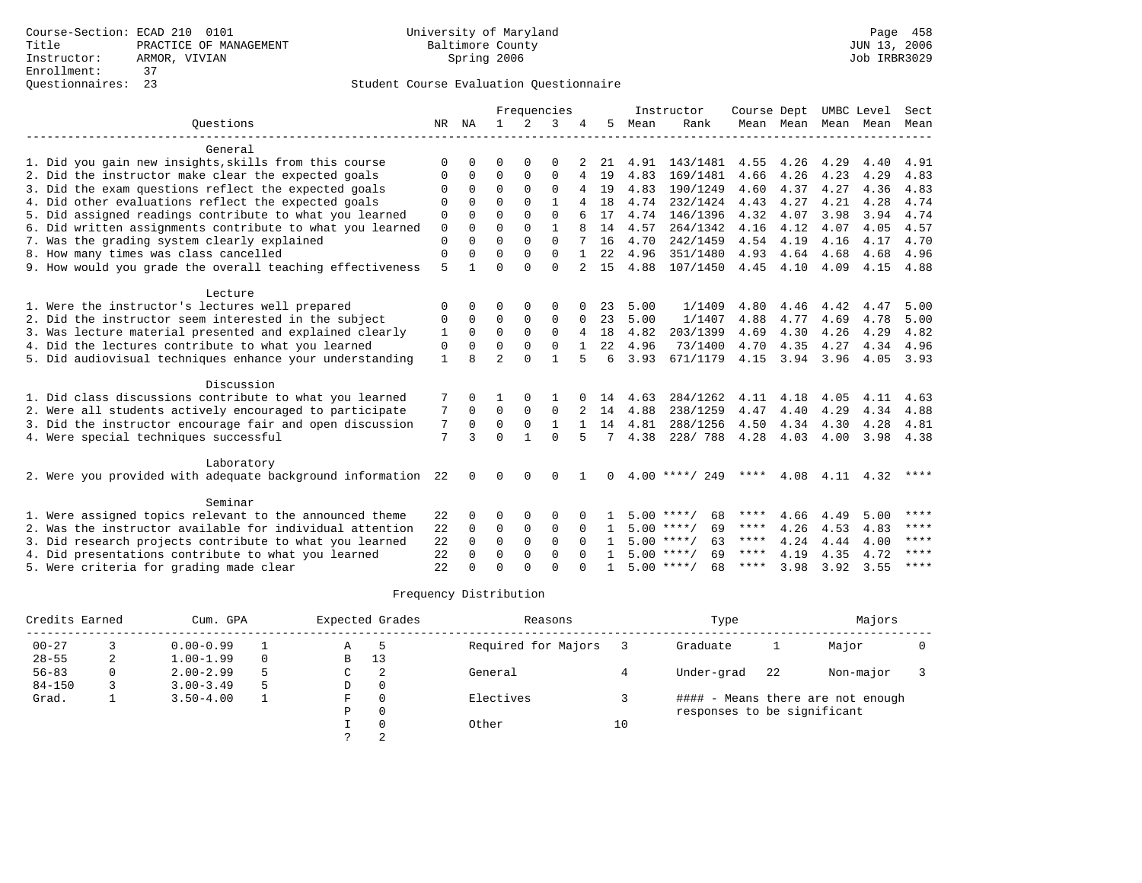|                                                              |              |              | Frequencies    |              |              |                |    | Instructor   | Course Dept        |      |                | UMBC Level | Sect      |              |
|--------------------------------------------------------------|--------------|--------------|----------------|--------------|--------------|----------------|----|--------------|--------------------|------|----------------|------------|-----------|--------------|
| Ouestions                                                    | NR NA        |              | $\mathbf{1}$   | 2            | 3            |                | 5  | Mean         | Rank               |      | Mean Mean Mean |            | Mean Mean |              |
|                                                              |              |              |                |              |              |                |    |              |                    |      |                |            |           |              |
| General                                                      |              |              | $\Omega$       |              |              |                |    |              |                    |      |                |            |           |              |
| 1. Did you gain new insights, skills from this course        | $\Omega$     | U            | $\Omega$       | $\Omega$     | $\Omega$     |                | 19 | 4.91<br>4.83 | 143/1481           | 4.55 | 4.26<br>4.26   | 4.29       | 4.40      | 4.91<br>4.83 |
| 2. Did the instructor make clear the expected goals          | 0            | 0            | $\Omega$       | $\Omega$     | $\Omega$     | 4              |    |              | 169/1481           | 4.66 |                | 4.23       | 4.29      |              |
| 3. Did the exam questions reflect the expected goals         | $\Omega$     | $\Omega$     |                | $\Omega$     | $\Omega$     | 4              | 19 | 4.83         | 190/1249           | 4.60 | 4.37           | 4.27       | 4.36      | 4.83         |
| 4. Did other evaluations reflect the expected goals          | $\Omega$     | $\Omega$     | $\Omega$       | $\Omega$     | 1            |                | 18 | 4.74         | 232/1424           | 4.43 | 4.27           | 4.21       | 4.28      | 4.74         |
| 5. Did assigned readings contribute to what you learned      | $\mathbf 0$  | $\Omega$     | $\Omega$       | $\Omega$     | $\Omega$     |                | 17 | 4.74         | 146/1396           | 4.32 | 4.07           | 3.98       | 3.94      | 4.74         |
| 6. Did written assignments contribute to what you learned    | $\mathbf 0$  | $\Omega$     | $\Omega$       | $\Omega$     | 1            |                | 14 | 4.57         | 264/1342           | 4.16 | 4.12           | 4.07       | 4.05      | 4.57         |
| 7. Was the grading system clearly explained                  | 0            | $\Omega$     | $\Omega$       | $\Omega$     | $\Omega$     |                | 16 | 4.70         | 242/1459           | 4.54 | 4.19           | 4.16       | 4.17      | 4.70         |
| 8. How many times was class cancelled                        | 0            | 0            | $\Omega$       | $\Omega$     | $\Omega$     | $\mathbf{1}$   | 22 | 4.96         | 351/1480           | 4.93 | 4.64           | 4.68       | 4.68      | 4.96         |
| 9. How would you grade the overall teaching effectiveness    | 5            | 1            | $\Omega$       | $\Omega$     | $\Omega$     | $\mathfrak{D}$ | 15 | 4.88         | 107/1450           | 4.45 | 4.10           | 4.09       | 4.15      | 4.88         |
| Lecture                                                      |              |              |                |              |              |                |    |              |                    |      |                |            |           |              |
| 1. Were the instructor's lectures well prepared              | $\Omega$     | <sup>0</sup> | O              | $\Omega$     | $\Omega$     |                | 23 | 5.00         | 1/1409             | 4.80 | 4.46           | 4.42       | 4.47      | 5.00         |
| 2. Did the instructor seem interested in the subject         | 0            | $\Omega$     | 0              | $\mathbf 0$  | $\mathbf 0$  | $\Omega$       | 23 | 5.00         | 1/1407             | 4.88 | 4.77           | 4.69       | 4.78      | 5.00         |
| 3. Was lecture material presented and explained clearly      | 1            | $\Omega$     | $\Omega$       | $\Omega$     | $\mathbf 0$  | $\overline{4}$ | 18 | 4.82         | 203/1399           | 4.69 | 4.30           | 4.26       | 4.29      | 4.82         |
| 4. Did the lectures contribute to what you learned           | $\mathbf 0$  | $\Omega$     | $\Omega$       | $\Omega$     | $\Omega$     | $\mathbf{1}$   | 22 | 4.96         | 73/1400            | 4.70 | 4.35           | 4.27       | 4.34      | 4.96         |
| 5. Did audiovisual techniques enhance your understanding     | $\mathbf{1}$ | R            | $\overline{a}$ | $\Omega$     | 1            | 5              | 6  | 3.93         | 671/1179           | 4.15 | 3.94           | 3.96       | 4.05      | 3.93         |
|                                                              |              |              |                |              |              |                |    |              |                    |      |                |            |           |              |
| Discussion                                                   |              |              |                |              |              |                |    |              |                    |      |                |            |           |              |
| 1. Did class discussions contribute to what you learned      | 7            | 0            |                | $\Omega$     |              |                | 14 | 4.63         | 284/1262           | 4.11 | 4.18           | 4.05       | 4.11      | 4.63         |
| 2. Were all students actively encouraged to participate      | 7            | $\Omega$     | $\Omega$       | $\Omega$     | $\Omega$     |                | 14 | 4.88         | 238/1259           | 4.47 | 4.40           | 4.29       | 4.34      | 4.88         |
| 3. Did the instructor encourage fair and open discussion     | 7            | 0            | $\mathbf 0$    | $\Omega$     | $\mathbf{1}$ | $\mathbf{1}$   | 14 | 4.81         | 288/1256           | 4.50 | 4.34           | 4.30       | 4.28      | 4.81         |
| 4. Were special techniques successful                        | 7            | ζ            | $\Omega$       | $\mathbf{1}$ | $\Omega$     | 5              | 7  | 4.38         | 228/788            | 4.28 | 4.03           | 4.00       | 3.98      | 4.38         |
| Laboratory                                                   |              |              |                |              |              |                |    |              |                    |      |                |            |           |              |
| 2. Were you provided with adequate background information 22 |              | 0            | O              | $\Omega$     | $\Omega$     |                | 0  |              | $4.00$ ****/ 249   | **** | 4.08           | 4.11       | 4.32      | $* * * *$    |
|                                                              |              |              |                |              |              |                |    |              |                    |      |                |            |           |              |
| Seminar                                                      |              |              |                |              |              |                |    |              |                    |      |                |            |           | ****         |
| 1. Were assigned topics relevant to the announced theme      | 22           | 0            | O              | $\Omega$     | 0            |                |    |              | $5.00$ ****/<br>68 | **** | 4.66           | 4.49       | 5.00      | ****         |
| 2. Was the instructor available for individual attention     | 22           | 0            | 0              | 0            | $\mathbf 0$  | $\Omega$       |    |              | $5.00$ ****/<br>69 | **** | 4.26           | 4.53       | 4.83      | ****         |
| 3. Did research projects contribute to what you learned      | 22           | $\Omega$     | $\Omega$       | $\Omega$     | $\Omega$     |                |    |              | $5.00$ ****/<br>63 | **** | 4.24           | 4.44       | 4.00      |              |
| 4. Did presentations contribute to what you learned          | 22           | $\Omega$     | $\Omega$       | $\Omega$     | $\Omega$     | $\cap$         |    |              | $5.00$ ****/<br>69 | **** | 4.19           | 4.35       | 4.72      | ****         |
| 5. Were criteria for grading made clear                      | 22           | U            | $\Omega$       | $\cap$       | $\cap$       |                |    |              | $5.00$ ****/<br>68 | **** | 3.98           | 3.92       | 3.55      | $***$ * * *  |

| Credits Earned |   | Cum. GPA      |   | Expected Grades | Reasons  |                     | Type |                             | Majors |                                   |  |
|----------------|---|---------------|---|-----------------|----------|---------------------|------|-----------------------------|--------|-----------------------------------|--|
| $00 - 27$      |   | $0.00 - 0.99$ |   | Α               |          | Required for Majors |      | Graduate                    |        | Major                             |  |
| $28 - 55$      | ∠ | $1.00 - 1.99$ |   | B               | 13       |                     |      |                             |        |                                   |  |
| $56 - 83$      |   | $2.00 - 2.99$ | 5 | C               | 2        | General             |      | Under-grad                  | 22     | Non-major                         |  |
| $84 - 150$     |   | $3.00 - 3.49$ | 5 | D               | 0        |                     |      |                             |        |                                   |  |
| Grad.          |   | $3.50 - 4.00$ |   | F               | $\Omega$ | Electives           |      |                             |        | #### - Means there are not enough |  |
|                |   |               |   | Ρ               | 0        |                     |      | responses to be significant |        |                                   |  |
|                |   |               |   |                 | $\circ$  | Other               | 10   |                             |        |                                   |  |
|                |   |               |   | $\mathcal{P}$   | 2        |                     |      |                             |        |                                   |  |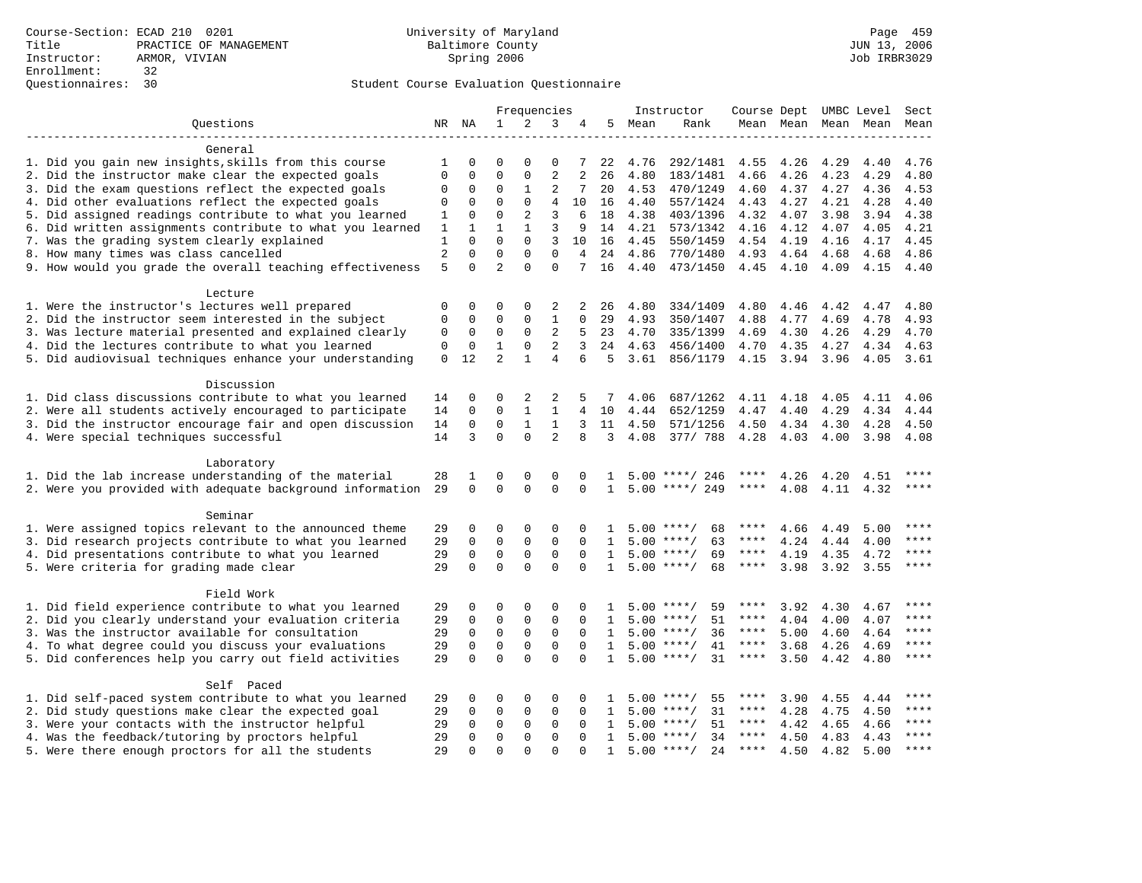|                                                           |              |              |                         | Frequencies  |                  |                |              |      | Instructor              | Course Dept UMBC Level Sect |      |      |                          |         |
|-----------------------------------------------------------|--------------|--------------|-------------------------|--------------|------------------|----------------|--------------|------|-------------------------|-----------------------------|------|------|--------------------------|---------|
| Ouestions                                                 |              | NR NA        | 1                       | 2            | 3                | 4              | 5            | Mean | Rank                    |                             |      |      | Mean Mean Mean Mean Mean |         |
|                                                           |              |              |                         |              |                  |                |              |      |                         |                             |      |      |                          |         |
| General                                                   |              |              |                         |              |                  |                |              |      |                         |                             |      |      |                          |         |
| 1. Did you gain new insights, skills from this course     | 1            | 0            | 0                       | $\Omega$     | 0                | 7              | 22           | 4.76 | 292/1481                | 4.55                        | 4.26 | 4.29 | 4.40                     | 4.76    |
| 2. Did the instructor make clear the expected goals       | $\mathbf 0$  | $\Omega$     | $\mathbf 0$             | $\mathbf{0}$ | 2                | 2              | 26           | 4.80 | 183/1481                | 4.66                        | 4.26 | 4.23 | 4.29                     | 4.80    |
| 3. Did the exam questions reflect the expected goals      | $\mathbf{0}$ | $\mathbf 0$  | $\mathbf 0$             | $\mathbf{1}$ | 2                | 7              | 20           | 4.53 | 470/1249                | 4.60                        | 4.37 | 4.27 | 4.36                     | 4.53    |
| 4. Did other evaluations reflect the expected goals       | 0            | 0            | $\mathbf 0$             | $\mathbf 0$  | 4                | 10             | 16           | 4.40 | 557/1424                | 4.43                        | 4.27 | 4.21 | 4.28                     | 4.40    |
| 5. Did assigned readings contribute to what you learned   | 1            | 0            | $\mathbf 0$             | 2            | 3                | 6              | 18           | 4.38 | 403/1396                | 4.32                        | 4.07 | 3.98 | 3.94                     | 4.38    |
| 6. Did written assignments contribute to what you learned | 1            | $\mathbf{1}$ | $\mathbf{1}$            | $\mathbf{1}$ | 3                | 9              | 14           | 4.21 | 573/1342                | 4.16                        | 4.12 | 4.07 | 4.05                     | 4.21    |
| 7. Was the grading system clearly explained               | $\mathbf{1}$ | $\Omega$     | $\Omega$                | $\Omega$     | 3                | 10             | 16           | 4.45 | 550/1459                | 4.54                        | 4.19 | 4.16 | 4.17                     | 4.45    |
| 8. How many times was class cancelled                     | 2            | $\Omega$     | $\mathbf 0$             | $\mathbf{0}$ | $\mathbf 0$      | $\overline{4}$ | 24           | 4.86 | 770/1480                | 4.93                        | 4.64 | 4.68 | 4.68                     | 4.86    |
| 9. How would you grade the overall teaching effectiveness | 5            | $\Omega$     | $\overline{a}$          | $\Omega$     | $\Omega$         |                | 16           | 4.40 | 473/1450                | 4.45                        | 4.10 | 4.09 | 4.15                     | 4.40    |
|                                                           |              |              |                         |              |                  |                |              |      |                         |                             |      |      |                          |         |
| Lecture                                                   |              |              |                         |              |                  |                |              |      |                         |                             |      |      |                          |         |
| 1. Were the instructor's lectures well prepared           | 0            | 0            | 0                       | 0            | 2                | 2              | 26           | 4.80 | 334/1409                | 4.80                        | 4.46 | 4.42 | 4.47                     | 4.80    |
| 2. Did the instructor seem interested in the subject      | 0            | 0            | 0                       | 0            | $\mathbf{1}$     | $\mathbf 0$    | 29           | 4.93 | 350/1407                | 4.88                        | 4.77 | 4.69 | 4.78                     | 4.93    |
| 3. Was lecture material presented and explained clearly   | 0            | $\mathbf 0$  | $\mathbf 0$             | $\mathbf 0$  | 2                | 5              | 23           | 4.70 | 335/1399                | 4.69                        | 4.30 | 4.26 | 4.29                     | 4.70    |
| 4. Did the lectures contribute to what you learned        | $\mathbf 0$  | $\mathbf 0$  | $\mathbf{1}$            | $\mathbf{0}$ | $\overline{2}$   | 3              | 24           | 4.63 | 456/1400                | 4.70                        | 4.35 | 4.27 | 4.34                     | 4.63    |
| 5. Did audiovisual techniques enhance your understanding  | $\mathbf 0$  | 12           | $\overline{a}$          | $\mathbf{1}$ | $\overline{4}$   | 6              | 5            | 3.61 | 856/1179                | 4.15                        | 3.94 | 3.96 | 4.05                     | 3.61    |
|                                                           |              |              |                         |              |                  |                |              |      |                         |                             |      |      |                          |         |
| Discussion                                                |              |              |                         |              |                  |                |              |      |                         |                             |      |      |                          |         |
| 1. Did class discussions contribute to what you learned   | 14           | 0            | 0                       | 2            | 2                | 5              | 7            | 4.06 | 687/1262                | 4.11                        | 4.18 | 4.05 | 4.11                     | 4.06    |
| 2. Were all students actively encouraged to participate   | 14           | 0            | 0                       | $\mathbf{1}$ | $\mathbf{1}$     | 4              | 10           | 4.44 | 652/1259                | 4.47                        | 4.40 | 4.29 | 4.34                     | 4.44    |
| 3. Did the instructor encourage fair and open discussion  | 14           | $\mathbf 0$  | 0                       | $\mathbf{1}$ | $\mathbf{1}$     | 3              | 11           | 4.50 | 571/1256                | 4.50                        | 4.34 | 4.30 | 4.28                     | 4.50    |
| 4. Were special techniques successful                     | 14           | 3            | $\Omega$                | $\Omega$     | $\overline{2}$   | 8              | 3            | 4.08 | 377/ 788                | 4.28                        | 4.03 | 4.00 | 3.98                     | 4.08    |
|                                                           |              |              |                         |              |                  |                |              |      |                         |                             |      |      |                          |         |
| Laboratory                                                |              |              |                         |              |                  |                |              |      |                         |                             |      |      |                          |         |
| 1. Did the lab increase understanding of the material     | 28           | 1            | 0                       | $\mathsf 0$  | 0                | $\Omega$       |              | 5.00 | 246                     |                             | 4.26 | 4.20 | 4.51                     |         |
| 2. Were you provided with adequate background information | 29           | $\Omega$     | $\mathbf 0$             | $\Omega$     | $\Omega$         | $\Omega$       | 1            |      | $5.00$ ****/ 249        |                             | 4.08 | 4.11 | 4.32                     |         |
|                                                           |              |              |                         |              |                  |                |              |      |                         |                             |      |      |                          |         |
| Seminar                                                   |              |              |                         |              |                  |                |              |      |                         |                             |      |      |                          |         |
|                                                           |              |              |                         |              |                  | $\Omega$       |              |      | ****/                   |                             |      |      |                          |         |
| 1. Were assigned topics relevant to the announced theme   | 29           | 0            | 0<br>$\mathbf 0$        | 0            | 0<br>$\mathbf 0$ |                |              | 5.00 | 68                      | ****                        | 4.66 | 4.49 | 5.00                     |         |
| 3. Did research projects contribute to what you learned   | 29           | $\mathbf 0$  |                         | $\mathbf 0$  |                  | $\Omega$       | $\mathbf{1}$ | 5.00 | $***/$<br>63<br>$***$ / | $***$ * *                   | 4.24 | 4.44 | 4.00                     | ****    |
| 4. Did presentations contribute to what you learned       | 29           | $\mathbf 0$  | $\mathbf 0$<br>$\Omega$ | $\mathbf 0$  | $\mathbf 0$      | $\Omega$       | $\mathbf{1}$ | 5.00 | 69                      |                             | 4.19 | 4.35 | 4.72                     | ****    |
| 5. Were criteria for grading made clear                   | 29           | $\Omega$     |                         | $\Omega$     | $\Omega$         | $\Omega$       | $\mathbf{1}$ |      | $5.00$ ****/<br>68      | $***$ * * *                 | 3.98 | 3.92 | 3.55                     |         |
|                                                           |              |              |                         |              |                  |                |              |      |                         |                             |      |      |                          |         |
| Field Work                                                |              |              |                         |              |                  |                |              |      |                         |                             |      |      |                          |         |
| 1. Did field experience contribute to what you learned    | 29           | 0            | 0                       | 0            | 0                | $\Omega$       |              |      | $5.00$ ****/<br>59      | ****                        | 3.92 | 4.30 | 4.67                     |         |
| 2. Did you clearly understand your evaluation criteria    | 29           | 0            | $\mathbf 0$             | $\mathbf 0$  | $\mathbf{0}$     | $\mathbf 0$    | 1            | 5.00 | $***$ /<br>51           | ****                        | 4.04 | 4.00 | 4.07                     |         |
| 3. Was the instructor available for consultation          | 29           | $\mathbf 0$  | $\mathbf 0$             | $\mathbf 0$  | $\mathbf 0$      | $\mathbf 0$    | $\mathbf{1}$ |      | 36<br>$5.00$ ****/      | $***$ * *                   | 5.00 | 4.60 | 4.64                     | ****    |
| 4. To what degree could you discuss your evaluations      | 29<br>29     | $\mathbf 0$  | $\mathbf 0$             | $\mathbf 0$  | $\mathbf 0$      | $\Omega$       | $\mathbf{1}$ |      | $5.00$ ****/<br>41      | $***$ * *                   | 3.68 | 4.26 | 4.69                     | $***$   |
| 5. Did conferences help you carry out field activities    |              | $\Omega$     | $\Omega$                | $\Omega$     | $\Omega$         | $\Omega$       | $\mathbf{1}$ |      | $5.00$ ****/<br>31      | $***$ * *                   | 3.50 | 4.42 | 4.80                     | $***$   |
|                                                           |              |              |                         |              |                  |                |              |      |                         |                             |      |      |                          |         |
| Self Paced                                                |              |              |                         |              |                  |                |              |      |                         |                             |      |      |                          |         |
| 1. Did self-paced system contribute to what you learned   | 29<br>29     | 0            | 0                       | 0            | 0                | 0              |              | 5.00 | 55<br>$***$ /           |                             | 3.90 | 4.55 | 4.44                     |         |
| 2. Did study questions make clear the expected goal       |              | 0            | $\mathbf 0$             | $\mathbf 0$  | $\mathbf{0}$     | $\mathbf 0$    | 1            | 5.00 | 31<br>$***$ /           | ****                        | 4.28 | 4.75 | 4.50                     |         |
| 3. Were your contacts with the instructor helpful         | 29           | $\Omega$     | $\mathbf 0$             | $\mathbf 0$  | $\mathbf{0}$     | $\Omega$       | 1            | 5.00 | $***$ /<br>51           | ****                        | 4.42 | 4.65 | 4.66                     | ****    |
| 4. Was the feedback/tutoring by proctors helpful          | 29           | $\Omega$     | $\mathbf 0$             | $\Omega$     | $\Omega$         | $\Omega$       | $\mathbf{1}$ |      | $5.00$ ****/<br>34      | $***$ * *                   | 4.50 | 4.83 | 4.43                     | ****    |
| 5. Were there enough proctors for all the students        | 29           | $\cap$       | $\Omega$                | $\cap$       | $\cap$           | $\cap$         | $\mathbf{1}$ |      | 2.4<br>$5.00$ ****/     | $***$ * *                   | 4.50 | 4.82 | 5.00                     | $***$ * |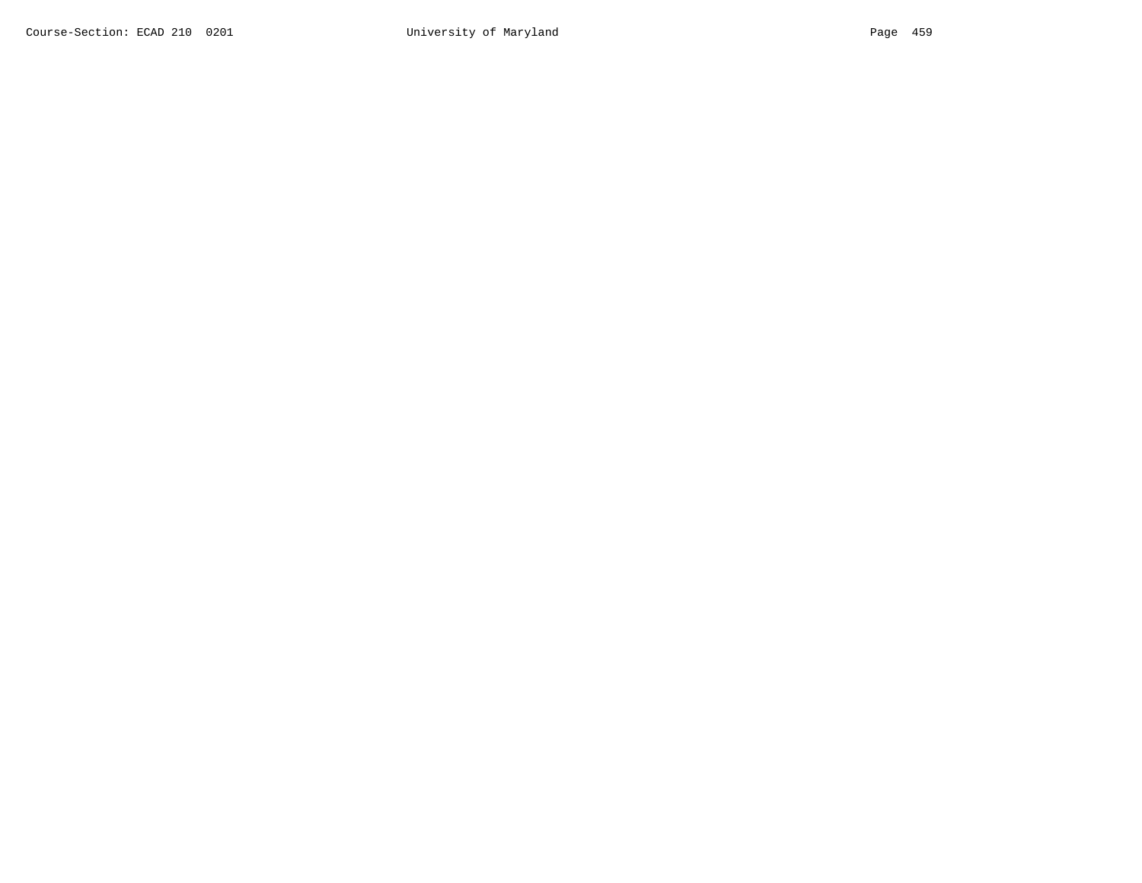Course-Section: ECAD 210 0201 University of Maryland Page 459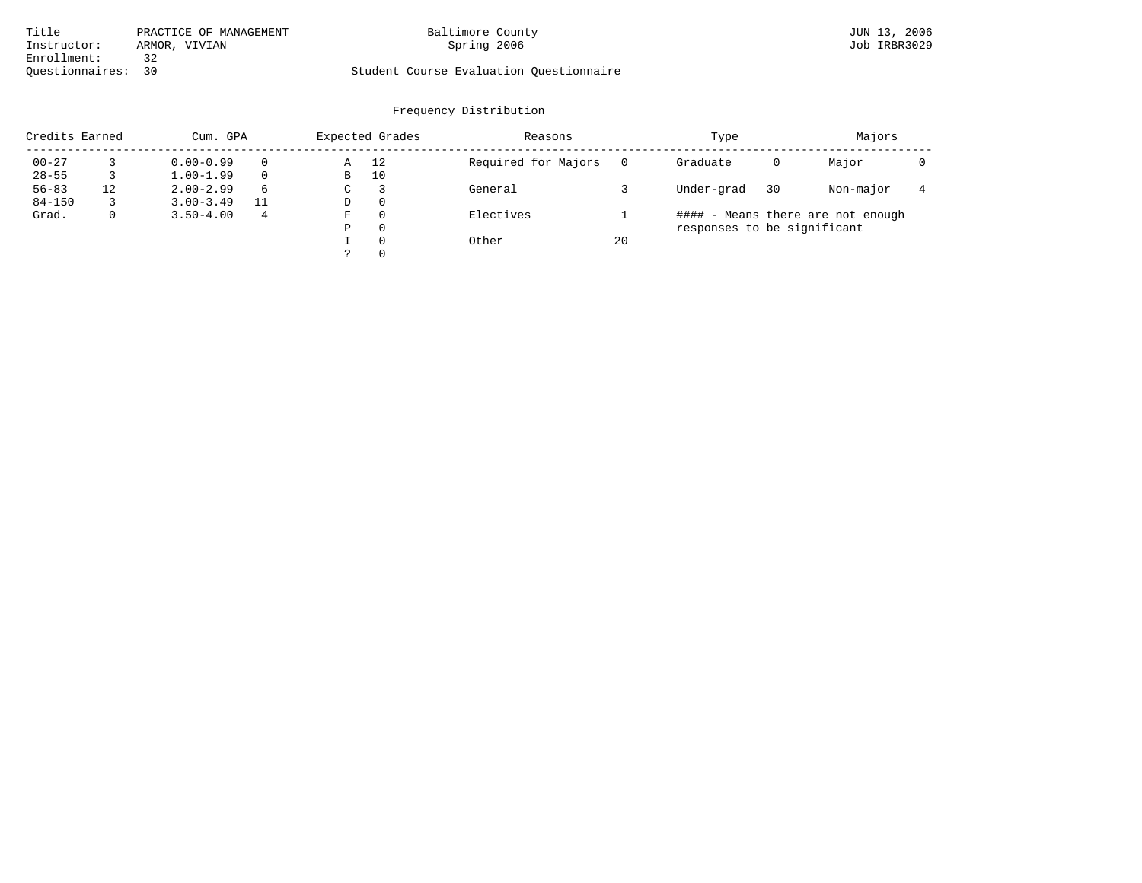| Title              | PRACTICE OF MANAGEMENT | Baltimore County                        | JUN 13, 2006 |
|--------------------|------------------------|-----------------------------------------|--------------|
| Instructor:        | ARMOR, VIVIAN          | Spring 2006                             | Job IRBR3029 |
| Enrollment:        |                        |                                         |              |
| Ouestionnaires: 30 |                        | Student Course Evaluation Ouestionnaire |              |

# Baltimore County **Baltimore** County **Baltimore** County

| Credits Earned |    | Cum. GPA      |          |   | Expected Grades | Reasons             |    | Type                        |    | Majors                            |  |
|----------------|----|---------------|----------|---|-----------------|---------------------|----|-----------------------------|----|-----------------------------------|--|
| $00 - 27$      |    | $0.00 - 0.99$ | $\Omega$ | Α | 12              | Required for Majors |    | Graduate                    | 0  | Major                             |  |
| $28 - 55$      |    | $1.00 - 1.99$ | $\Omega$ | В | 10              |                     |    |                             |    |                                   |  |
| $56 - 83$      | 12 | $2.00 - 2.99$ | 6        | C |                 | General             |    | Under-grad                  | 30 | Non-major                         |  |
| $84 - 150$     |    | $3.00 - 3.49$ | 11       | D | $\circ$         |                     |    |                             |    |                                   |  |
| Grad.          | 0  | $3.50 - 4.00$ | 4        | F | 0               | Electives           |    |                             |    | #### - Means there are not enough |  |
|                |    |               |          | Ρ | 0               |                     |    | responses to be significant |    |                                   |  |
|                |    |               |          |   | $\Omega$        | Other               | 20 |                             |    |                                   |  |
|                |    |               |          |   | $\Omega$        |                     |    |                             |    |                                   |  |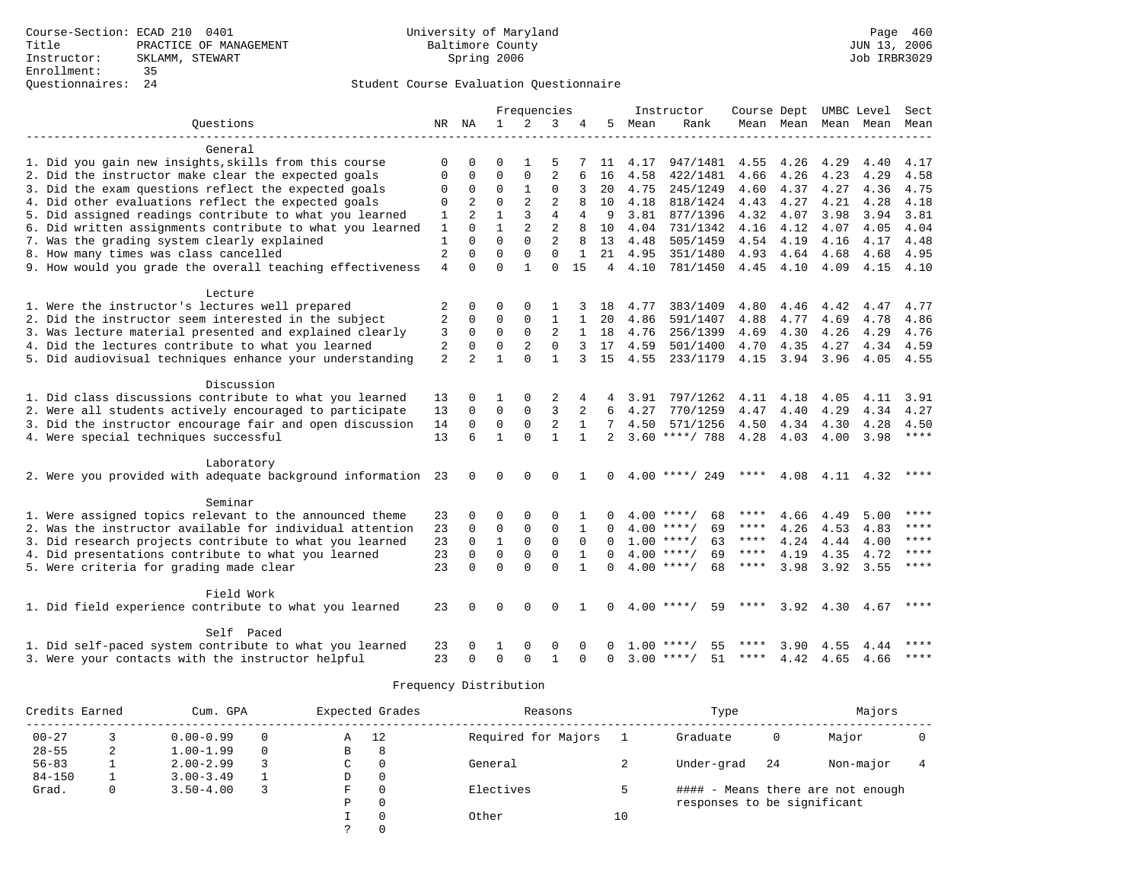|                                                              |                |                |              | Frequencies    |                |              |                |      | Instructor         | Course Dept |           | UMBC Level        |      | Sect        |
|--------------------------------------------------------------|----------------|----------------|--------------|----------------|----------------|--------------|----------------|------|--------------------|-------------|-----------|-------------------|------|-------------|
| Ouestions                                                    |                | NR NA          | $\mathbf{1}$ | $\overline{2}$ | 3              |              | 5              | Mean | Rank               |             | Mean Mean | Mean              | Mean | Mean        |
|                                                              |                |                |              |                |                |              |                |      |                    |             |           |                   |      |             |
| General                                                      |                |                |              |                |                |              |                |      |                    |             |           |                   |      |             |
| 1. Did you gain new insights, skills from this course        | $\Omega$       | $\Omega$       | O            |                | 5              |              | 11             | 4.17 | 947/1481           | 4.55        | 4.26      | 4.29              | 4.40 | 4.17        |
| 2. Did the instructor make clear the expected goals          | $\Omega$       | $\Omega$       | $\Omega$     | 0              | $\overline{2}$ | 6            | 16             | 4.58 | 422/1481           | 4.66        | 4.26      | 4.23              | 4.29 | 4.58        |
| 3. Did the exam questions reflect the expected goals         | $\Omega$       | 0              | $\Omega$     | $\mathbf{1}$   | $\Omega$       | 3            | 20             | 4.75 | 245/1249           | 4.60        | 4.37      | 4.27              | 4.36 | 4.75        |
| 4. Did other evaluations reflect the expected goals          | $\Omega$       | $\overline{2}$ | $\Omega$     | $\overline{2}$ | $\overline{2}$ | 8            | 10             | 4.18 | 818/1424           | 4.43        | 4.27      | 4.21              | 4.28 | 4.18        |
| 5. Did assigned readings contribute to what you learned      | 1              | $\overline{2}$ | $\mathbf{1}$ | 3              | 4              | 4            | 9              | 3.81 | 877/1396           | 4.32        | 4.07      | 3.98              | 3.94 | 3.81        |
| 6. Did written assignments contribute to what you learned    | $\mathbf{1}$   | $\Omega$       | $\mathbf{1}$ | $\overline{a}$ | $\overline{a}$ | $\mathsf{R}$ | 10             | 4.04 | 731/1342           | 4.16        | 4.12      | 4.07              | 4.05 | 4.04        |
| 7. Was the grading system clearly explained                  | $\mathbf{1}$   | $\Omega$       | $\Omega$     | 0              | $\overline{2}$ | 8            | 13             | 4.48 | 505/1459           | 4.54        | 4.19      | 4.16              | 4.17 | 4.48        |
| 8. How many times was class cancelled                        | $\sqrt{2}$     | $\Omega$       | $\Omega$     | $\Omega$       | $\Omega$       | $\mathbf{1}$ | 21             | 4.95 | 351/1480           | 4.93        | 4.64      | 4.68              | 4.68 | 4.95        |
| 9. How would you grade the overall teaching effectiveness    | $\overline{4}$ | $\Omega$       | $\Omega$     |                | $\Omega$       | 15           | $\overline{4}$ | 4.10 | 781/1450           | 4.45        | 4.10      | 4.09              | 4.15 | 4.10        |
| Lecture                                                      |                |                |              |                |                |              |                |      |                    |             |           |                   |      |             |
| 1. Were the instructor's lectures well prepared              | 2              | $\Omega$       | $\Omega$     | $\Omega$       | 1              |              | 18             | 4.77 | 383/1409           | 4.80        | 4.46      | 4.42              | 4.47 | 4.77        |
| 2. Did the instructor seem interested in the subject         | $\overline{2}$ | 0              | $\Omega$     | $\Omega$       | $\mathbf{1}$   |              | 20             | 4.86 | 591/1407           | 4.88        | 4.77      | 4.69              | 4.78 | 4.86        |
| 3. Was lecture material presented and explained clearly      | 3              | $\Omega$       | $\Omega$     | $\Omega$       | $\overline{2}$ |              | 18             | 4.76 | 256/1399           | 4.69        | 4.30      | 4.26              | 4.29 | 4.76        |
| 4. Did the lectures contribute to what you learned           | $\sqrt{2}$     | 0              | 0            | 2              | $\mathbf 0$    | 3            | 17             | 4.59 | 501/1400           | 4.70        | 4.35      | 4.27              | 4.34 | 4.59        |
| 5. Did audiovisual techniques enhance your understanding     | $\overline{2}$ | $\overline{2}$ | $\mathbf{1}$ | $\Omega$       | $\mathbf{1}$   | 3            | 15             | 4.55 | 233/1179           | 4.15        | 3.94      | 3.96              | 4.05 | 4.55        |
|                                                              |                |                |              |                |                |              |                |      |                    |             |           |                   |      |             |
| Discussion                                                   |                |                |              |                |                |              |                |      |                    |             |           |                   |      |             |
| 1. Did class discussions contribute to what you learned      | 13             | $\Omega$       | 1            | $\Omega$       |                |              |                | 3.91 | 797/1262           | 4.11        | 4.18      | 4.05              | 4.11 | 3.91        |
| 2. Were all students actively encouraged to participate      | 13             | $\mathbf 0$    | $\mathbf 0$  | $\Omega$       | 3              | 2            | 6              | 4.27 | 770/1259           | 4.47        | 4.40      | 4.29              | 4.34 | 4.27        |
| 3. Did the instructor encourage fair and open discussion     | 14             | $\Omega$       | $\mathbf 0$  | 0              | $\overline{2}$ | $\mathbf{1}$ | 7              | 4.50 | 571/1256           | 4.50        | 4.34      | 4.30              | 4.28 | 4.50        |
| 4. Were special techniques successful                        | 13             | 6              | $\mathbf{1}$ | $\Omega$       | $\mathbf{1}$   | $\mathbf{1}$ | 2              |      | $3.60$ ****/ 788   | 4.28        | 4.03      | 4.00              | 3.98 | $***$ * * * |
|                                                              |                |                |              |                |                |              |                |      |                    |             |           |                   |      |             |
| Laboratory                                                   |                |                |              |                |                |              |                |      |                    |             |           |                   |      |             |
| 2. Were you provided with adequate background information 23 |                | $\Omega$       | $\Omega$     | $\Omega$       | $\Omega$       |              | <sup>0</sup>   |      | $4.00$ ****/ 249   | ****        |           | 4.08 4.11 4.32    |      |             |
| Seminar                                                      |                |                |              |                |                |              |                |      |                    |             |           |                   |      |             |
| 1. Were assigned topics relevant to the announced theme      | 23             | 0              | 0            | 0              | $\mathbf 0$    |              | 0              |      | $4.00$ ****/<br>68 | ****        | 4.66      | 4.49              | 5.00 | ****        |
| 2. Was the instructor available for individual attention     | 23             | $\Omega$       | $\Omega$     | $\mathbf 0$    | $\Omega$       | $\mathbf{1}$ | $\Omega$       |      | $4.00$ ****/<br>69 | ****        | 4.26      | 4.53              | 4.83 | ****        |
| 3. Did research projects contribute to what you learned      | 23             | $\mathbf 0$    | $\mathbf{1}$ | $\mathbf 0$    | $\mathbf 0$    | $\mathbf 0$  | $\Omega$       |      | $1.00$ ****/<br>63 | $***$ * * * | 4.24      | 4.44              | 4.00 | ****        |
| 4. Did presentations contribute to what you learned          | 23             | $\Omega$       | $\Omega$     | $\Omega$       | $\Omega$       | $\mathbf{1}$ | $\Omega$       |      | $4.00$ ****/<br>69 | ****        | 4.19      | 4.35              | 4.72 | $***$ * * * |
| 5. Were criteria for grading made clear                      | 23             | $\Omega$       | $\Omega$     | $\Omega$       | $\Omega$       | $\mathbf{1}$ | $\Omega$       |      | $4.00$ ****/<br>68 | $***$ * * * | 3.98      | 3.92              | 3.55 | $***$ * * * |
|                                                              |                |                |              |                |                |              |                |      |                    |             |           |                   |      |             |
| Field Work                                                   |                |                |              |                |                |              |                |      |                    |             |           |                   |      |             |
| 1. Did field experience contribute to what you learned       | 23             | $\Omega$       | $\Omega$     | $\Omega$       | $\Omega$       |              | 0              |      | $4.00$ ****/<br>59 |             |           | $3.92 \quad 4.30$ | 4.67 | ****        |
| Self Paced                                                   |                |                |              |                |                |              |                |      |                    |             |           |                   |      |             |
| 1. Did self-paced system contribute to what you learned      | 23             |                |              | $\Omega$       | $\Omega$       |              |                | 1.00 | 55<br>****         | ****        | 3.90      | 4.55              | 4.44 | ****        |
| 3. Were your contacts with the instructor helpful            | 23             | $\Omega$       | $\Omega$     | $\Omega$       | $\mathbf{1}$   | $\Omega$     | $\Omega$       |      | $3.00$ ****/<br>51 | $***$ * * * | 4.42      | 4.65 4.66         |      | ****        |
|                                                              |                |                |              |                |                |              |                |      |                    |             |           |                   |      |             |

| Credits Earned |   | Cum. GPA      |  |   | Expected Grades | Reasons             |    | Type                        |     | Majors                            |  |
|----------------|---|---------------|--|---|-----------------|---------------------|----|-----------------------------|-----|-----------------------------------|--|
| $00 - 27$      |   | $0.00 - 0.99$ |  | Α | 12              | Required for Majors |    | Graduate                    | 0   | Major                             |  |
| $28 - 55$      | 2 | $1.00 - 1.99$ |  | B | 8               |                     |    |                             |     |                                   |  |
| $56 - 83$      |   | $2.00 - 2.99$ |  | C | $\Omega$        | General             |    | Under-grad                  | 2.4 | Non-major                         |  |
| $84 - 150$     |   | $3.00 - 3.49$ |  | D | $\Omega$        |                     |    |                             |     |                                   |  |
| Grad.          | 0 | $3.50 - 4.00$ |  | F | $\Omega$        | Electives           |    |                             |     | #### - Means there are not enough |  |
|                |   |               |  | P | $\Omega$        |                     |    | responses to be significant |     |                                   |  |
|                |   |               |  |   | $\Omega$        | Other               | 10 |                             |     |                                   |  |
|                |   |               |  |   |                 |                     |    |                             |     |                                   |  |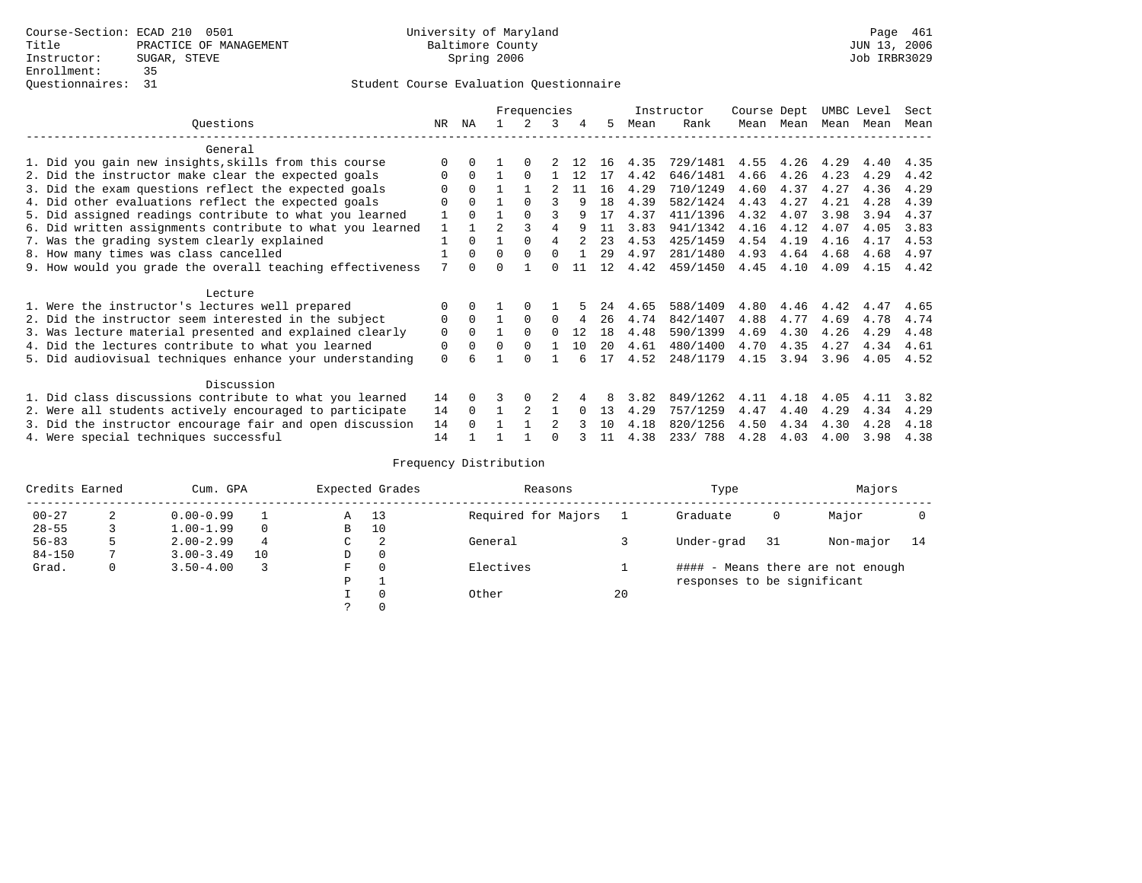|                                                           | Frequencies |          |               |          |          |     |     | Instructor | Course Dept |      | UMBC Level |      | Sect |      |
|-----------------------------------------------------------|-------------|----------|---------------|----------|----------|-----|-----|------------|-------------|------|------------|------|------|------|
| Ouestions                                                 | NR.         | ΝA       |               |          | 3        | 4   | 5.  | Mean       | Rank        | Mean | Mean       | Mean | Mean | Mean |
| General                                                   |             |          |               |          |          |     |     |            |             |      |            |      |      |      |
| 1. Did you gain new insights, skills from this course     | $\Omega$    | 0        |               | $\Omega$ |          | 12  | 16  | 4.35       | 729/1481    | 4.55 | 4.26       | 4.29 | 4.40 | 4.35 |
| 2. Did the instructor make clear the expected goals       | $\Omega$    | $\Omega$ |               | $\Omega$ |          | 12  | 17  | 4.42       | 646/1481    | 4.66 | 4.26       | 4.23 | 4.29 | 4.42 |
| 3. Did the exam questions reflect the expected goals      | 0           | $\Omega$ |               |          |          | 11  | 16  | 4.29       | 710/1249    | 4.60 | 4.37       | 4.27 | 4.36 | 4.29 |
| 4. Did other evaluations reflect the expected goals       | O           | $\Omega$ |               | $\Omega$ |          |     | 1.8 | 4.39       | 582/1424    | 4.43 | 4.27       | 4.21 | 4.28 | 4.39 |
| 5. Did assigned readings contribute to what you learned   |             | $\Omega$ |               | $\Omega$ |          | q   | 17  | 4.37       | 411/1396    | 4.32 | 4.07       | 3.98 | 3.94 | 4.37 |
| 6. Did written assignments contribute to what you learned | 1           |          | $\mathcal{D}$ |          |          | q   | 11  | 3.83       | 941/1342    | 4.16 | 4.12       | 4.07 | 4.05 | 3.83 |
| 7. Was the grading system clearly explained               |             | $\Omega$ |               | $\Omega$ | 4        |     | 23  | 4.53       | 425/1459    | 4.54 | 4.19       | 4.16 | 4.17 | 4.53 |
| 8. How many times was class cancelled                     |             | $\Omega$ | $\Omega$      | $\Omega$ | $\Omega$ |     | 29  | 4.97       | 281/1480    | 4.93 | 4.64       | 4.68 | 4.68 | 4.97 |
| 9. How would you grade the overall teaching effectiveness | 7           | $\cap$   | ∩             |          | U        | 11  | 12  | 4.42       | 459/1450    | 4.45 | 4.10       | 4.09 | 4.15 | 4.42 |
| Lecture                                                   |             |          |               |          |          |     |     |            |             |      |            |      |      |      |
| 1. Were the instructor's lectures well prepared           | $\Omega$    |          |               |          |          |     | 24  | 4.65       | 588/1409    | 4.80 | 4.46       | 4.42 | 4.47 | 4.65 |
| 2. Did the instructor seem interested in the subject      | 0           | $\Omega$ |               | $\Omega$ | $\Omega$ | 4   | 26  | 4.74       | 842/1407    | 4.88 | 4.77       | 4.69 | 4.78 | 4.74 |
| 3. Was lecture material presented and explained clearly   | $\mathbf 0$ | $\Omega$ |               | $\Omega$ | $\Omega$ | 12  | 18  | 4.48       | 590/1399    | 4.69 | 4.30       | 4.26 | 4.29 | 4.48 |
| 4. Did the lectures contribute to what you learned        | 0           | $\Omega$ | $\Omega$      | $\Omega$ |          | 1 O | 20  | 4.61       | 480/1400    | 4.70 | 4.35       | 4.27 | 4.34 | 4.61 |
| 5. Did audiovisual techniques enhance your understanding  | $\Omega$    |          |               | ∩        |          |     | 17  | 4.52       | 248/1179    | 4.15 | 3.94       | 3.96 | 4.05 | 4.52 |
|                                                           |             |          |               |          |          |     |     |            |             |      |            |      |      |      |
| Discussion                                                |             |          |               |          |          |     |     |            |             |      |            |      |      |      |
| 1. Did class discussions contribute to what you learned   | 14          | $\Omega$ |               | $\Omega$ |          |     |     | 3.82       | 849/1262    | 4.11 | 4.18       | 4.05 | 4.11 | 3.82 |
| 2. Were all students actively encouraged to participate   | 14          | $\Omega$ |               |          |          |     | 13  | 4.29       | 757/1259    | 4.47 | 4.40       | 4.29 | 4.34 | 4.29 |
| 3. Did the instructor encourage fair and open discussion  | 14          | $\Omega$ |               |          |          |     | 10  | 4.18       | 820/1256    | 4.50 | 4.34       | 4.30 | 4.28 | 4.18 |
| 4. Were special techniques successful                     | 14          |          |               |          |          |     | 11  | 4.38       | 233/788     | 4.28 | 4.03       | 4.00 | 3.98 | 4.38 |

| Credits Earned |   | Cum. GPA      |    |               | Expected Grades | Reasons             |    | Type                        |    | Majors                            |    |
|----------------|---|---------------|----|---------------|-----------------|---------------------|----|-----------------------------|----|-----------------------------------|----|
| $00 - 27$      | 2 | $0.00 - 0.99$ |    | Α             | 13              | Required for Majors |    | Graduate                    | 0  | Major                             |    |
| $28 - 55$      |   | $1.00 - 1.99$ |    | B             | 10              |                     |    |                             |    |                                   |    |
| $56 - 83$      | 5 | $2.00 - 2.99$ | 4  | $\sim$<br>◡   | 2               | General             |    | Under-grad                  | 31 | Non-major                         | 14 |
| $84 - 150$     |   | $3.00 - 3.49$ | 10 | D             | 0               |                     |    |                             |    |                                   |    |
| Grad.          | 0 | $3.50 - 4.00$ |    | F             | $\Omega$        | Electives           |    |                             |    | #### - Means there are not enough |    |
|                |   |               |    | P             |                 |                     |    | responses to be significant |    |                                   |    |
|                |   |               |    |               | $\mathbf 0$     | Other               | 20 |                             |    |                                   |    |
|                |   |               |    | $\mathcal{L}$ |                 |                     |    |                             |    |                                   |    |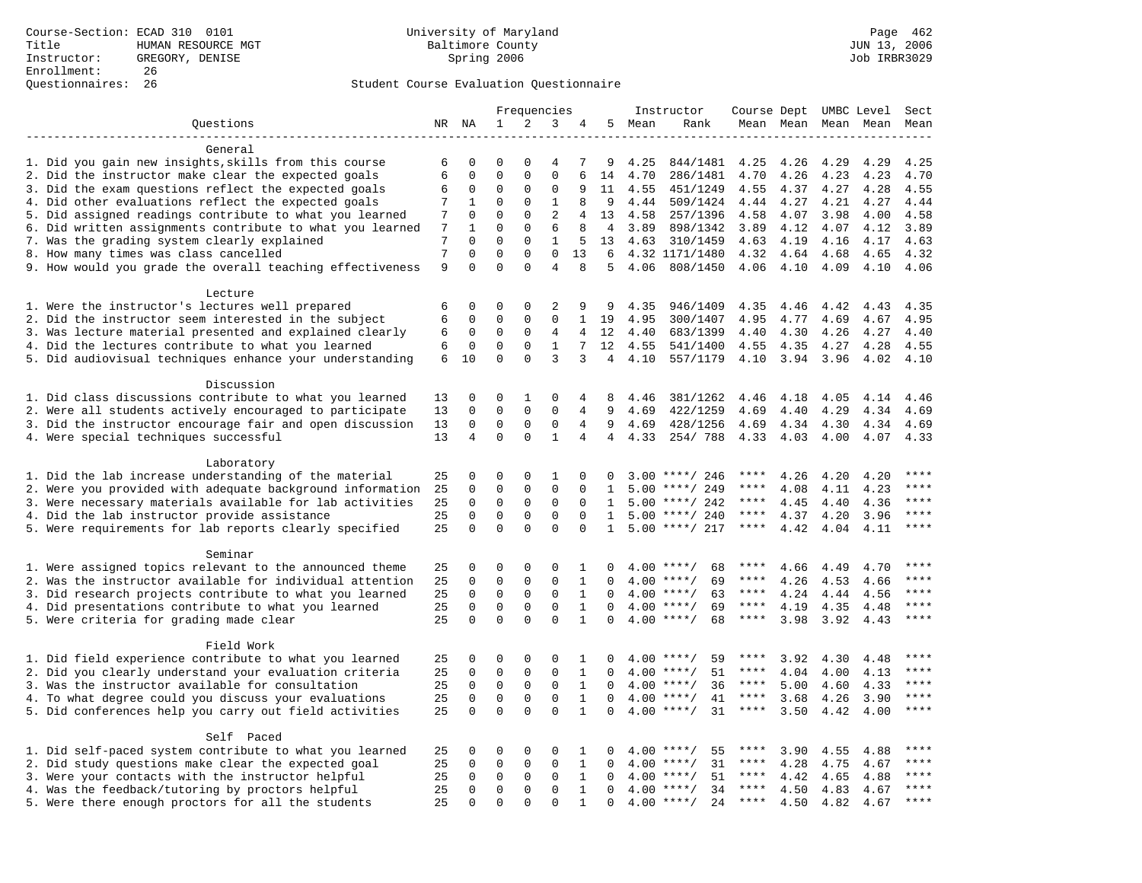|                                                                                                         | Frequencies |             |             | Instructor   | Course Dept UMBC Level |                |                |        | Sect               |             |      |                     |      |             |
|---------------------------------------------------------------------------------------------------------|-------------|-------------|-------------|--------------|------------------------|----------------|----------------|--------|--------------------|-------------|------|---------------------|------|-------------|
| Questions                                                                                               |             | NR NA       | 1           | 2            | 3                      | 4              |                | 5 Mean | Rank               |             |      | Mean Mean Mean Mean |      | Mean        |
| ___________________                                                                                     |             |             |             |              |                        |                |                |        |                    |             |      |                     |      |             |
| General                                                                                                 |             |             |             |              |                        |                |                |        |                    |             |      |                     |      |             |
| 1. Did you gain new insights, skills from this course                                                   | 6           | 0           | $\Omega$    | 0            | 4                      | 7              | 9              | 4.25   | 844/1481           | 4.25        | 4.26 | 4.29                | 4.29 | 4.25        |
| 2. Did the instructor make clear the expected goals                                                     | 6           | $\mathbf 0$ | $\mathbf 0$ | $\mathbf{0}$ | $\mathbf 0$            | 6              | 14             | 4.70   | 286/1481           | 4.70        | 4.26 | 4.23                | 4.23 | 4.70        |
| 3. Did the exam questions reflect the expected goals                                                    | 6           | $\mathbf 0$ | $\Omega$    | $\Omega$     | 0                      | 9              | 11             | 4.55   | 451/1249           | 4.55        | 4.37 | 4.27                | 4.28 | 4.55        |
| 4. Did other evaluations reflect the expected goals                                                     | 7           | 1           | $\Omega$    | $\Omega$     | 1                      | 8              | 9              | 4.44   | 509/1424           | 4.44        | 4.27 | 4.21                | 4.27 | 4.44        |
| 5. Did assigned readings contribute to what you learned                                                 | 7           | $\mathbf 0$ | $\Omega$    | $\Omega$     | $\overline{2}$         | 4              | 13             | 4.58   | 257/1396           | 4.58        | 4.07 | 3.98                | 4.00 | 4.58        |
| 6. Did written assignments contribute to what you learned                                               | 7           | 1           | $\mathbf 0$ | $\mathbf{0}$ | 6                      | 8              | 4              | 3.89   | 898/1342           | 3.89        | 4.12 | 4.07                | 4.12 | 3.89        |
| 7. Was the grading system clearly explained                                                             | 7           | $\Omega$    | $\Omega$    | $\mathbf{0}$ | $\mathbf{1}$           | 5              | 13             |        | 4.63 310/1459      | 4.63        | 4.19 | 4.16                | 4.17 | 4.63        |
| 8. How many times was class cancelled                                                                   | 7           | $\mathbf 0$ | $\mathbf 0$ | $\mathbf 0$  | $\Omega$               | 13             | 6              |        | 4.32 1171/1480     | 4.32        | 4.64 | 4.68                | 4.65 | 4.32        |
| 9. How would you grade the overall teaching effectiveness                                               | 9           | $\Omega$    | $\Omega$    | $\Omega$     | $\overline{4}$         | 8              | 5              | 4.06   | 808/1450           | 4.06        | 4.10 | 4.09                | 4.10 | 4.06        |
| Lecture                                                                                                 |             |             |             |              |                        |                |                |        |                    |             |      |                     |      |             |
|                                                                                                         | 6           | $\Omega$    | $\Omega$    | $\Omega$     | 2                      | 9              | 9              | 4.35   | 946/1409           | 4.35        | 4.46 | 4.42                | 4.43 | 4.35        |
| 1. Were the instructor's lectures well prepared<br>2. Did the instructor seem interested in the subject | 6           | $\mathbf 0$ | 0           | $\mathsf 0$  | $\Omega$               | $\mathbf{1}$   | 19             | 4.95   | 300/1407           | 4.95        | 4.77 | 4.69                | 4.67 | 4.95        |
| 3. Was lecture material presented and explained clearly                                                 | 6           | 0           | 0           | 0            | 4                      | $\overline{4}$ | 12             | 4.40   | 683/1399           | 4.40        | 4.30 | 4.26                | 4.27 | 4.40        |
| 4. Did the lectures contribute to what you learned                                                      | 6           | $\mathbf 0$ | $\mathbf 0$ | $\mathbf{0}$ | $\mathbf{1}$           | 7              | 12             | 4.55   | 541/1400           | 4.55        | 4.35 | 4.27                | 4.28 | 4.55        |
| 5. Did audiovisual techniques enhance your understanding                                                | 6           | 10          | $\Omega$    | $\Omega$     | 3                      | 3              | $\overline{4}$ | 4.10   | 557/1179           | 4.10        | 3.94 | 3.96                | 4.02 | 4.10        |
|                                                                                                         |             |             |             |              |                        |                |                |        |                    |             |      |                     |      |             |
| Discussion                                                                                              |             |             |             |              |                        |                |                |        |                    |             |      |                     |      |             |
| 1. Did class discussions contribute to what you learned                                                 | 13          | $\mathbf 0$ | 0           | 1            | 0                      | 4              | 8              | 4.46   | 381/1262           | 4.46        | 4.18 | 4.05                | 4.14 | 4.46        |
| 2. Were all students actively encouraged to participate                                                 | 13          | $\Omega$    | $\Omega$    | $\Omega$     | $\Omega$               | 4              | 9              | 4.69   | 422/1259           | 4.69        | 4.40 | 4.29                | 4.34 | 4.69        |
| 3. Did the instructor encourage fair and open discussion                                                | 13          | $\mathbf 0$ | 0           | $\mathsf 0$  | $\mathbf 0$            | 4              | 9              | 4.69   | 428/1256           | 4.69        | 4.34 | 4.30                | 4.34 | 4.69        |
| 4. Were special techniques successful                                                                   | 13          | 4           | $\mathbf 0$ | $\mathbf{0}$ | $\mathbf{1}$           | $\overline{4}$ | 4              | 4.33   | 254/788            | 4.33        | 4.03 | 4.00                | 4.07 | 4.33        |
|                                                                                                         |             |             |             |              |                        |                |                |        |                    |             |      |                     |      |             |
| Laboratory                                                                                              |             |             |             |              |                        |                |                |        |                    |             |      |                     |      |             |
| 1. Did the lab increase understanding of the material                                                   | 25          | $\mathbf 0$ | 0           | $\mathbf 0$  | 1                      | 0              | $\Omega$       |        | $3.00$ ****/ 246   | ****        | 4.26 | 4.20                | 4.20 | ****        |
| 2. Were you provided with adequate background information                                               | 25          | $\mathbf 0$ | $\mathbf 0$ | $\mathbf 0$  | $\mathbf 0$            | $\Omega$       | $\mathbf{1}$   | 5.00   | ****/ 249          | ****        | 4.08 | 4.11                | 4.23 | $***$       |
| 3. Were necessary materials available for lab activities                                                | 25          | $\mathbf 0$ | $\mathbf 0$ | $\mathbf 0$  | $\mathbf 0$            | $\Omega$       | $\mathbf{1}$   |        | $5.00$ ****/ 242   | $***$ * * * | 4.45 | 4.40                | 4.36 | $***$       |
| 4. Did the lab instructor provide assistance                                                            | 25          | $\Omega$    | $\Omega$    | $\Omega$     | $\Omega$               | $\Omega$       | $\mathbf{1}$   |        | $5.00$ ****/ 240   | ****        | 4.37 | 4.20                | 3.96 | ****        |
| 5. Were requirements for lab reports clearly specified                                                  | 25          | $\mathbf 0$ | $\mathbf 0$ | $\mathbf 0$  | $\mathbf 0$            | $\mathbf 0$    | $\mathbf{1}$   |        | $5.00$ ****/ 217   | $***$ * * * | 4.42 | 4.04                | 4.11 | ****        |
|                                                                                                         |             |             |             |              |                        |                |                |        |                    |             |      |                     |      |             |
| Seminar                                                                                                 |             |             |             |              |                        |                |                |        |                    |             |      |                     |      |             |
| 1. Were assigned topics relevant to the announced theme                                                 | 25          | $\mathbf 0$ | 0           | $\mathbf 0$  | 0                      | 1              | $\Omega$       |        | $4.00$ ****/<br>68 | ****        | 4.66 | 4.49                | 4.70 | ****        |
| 2. Was the instructor available for individual attention                                                | 25          | $\mathbf 0$ | $\mathbf 0$ | $\mathbf 0$  | $\mathbf 0$            | $\mathbf{1}$   | $\Omega$       |        | $4.00$ ****/<br>69 | ****        | 4.26 | 4.53                | 4.66 | ****        |
| 3. Did research projects contribute to what you learned                                                 | 25          | $\mathbf 0$ | $\mathbf 0$ | $\mathbf 0$  | $\mathbf 0$            | 1              | $\Omega$       |        | $4.00$ ****/<br>63 | $***$ * *   | 4.24 | 4.44                | 4.56 | ****        |
| 4. Did presentations contribute to what you learned                                                     | 25          | $\Omega$    | $\mathbf 0$ | $\mathbf 0$  | $\mathbf 0$            | $\mathbf{1}$   | $\Omega$       |        | $4.00$ ****/<br>69 | $***$ * * * | 4.19 | 4.35                | 4.48 | $***$       |
| 5. Were criteria for grading made clear                                                                 | 25          | $\Omega$    | $\Omega$    | $\Omega$     | $\Omega$               | $\mathbf{1}$   | $\Omega$       |        | $4.00$ ****/<br>68 | ****        | 3.98 | 3.92                | 4.43 | ****        |
| Field Work                                                                                              |             |             |             |              |                        |                |                |        |                    |             |      |                     |      |             |
|                                                                                                         | 25          | 0           | 0           | $\mathbf 0$  | $\mathbf 0$            |                |                |        | 59<br>$4.00$ ****/ | ****        |      |                     |      | ****        |
| 1. Did field experience contribute to what you learned                                                  |             |             |             |              |                        | 1              | 0              |        |                    | ****        | 3.92 | 4.30                | 4.48 | $***$ * * * |
| 2. Did you clearly understand your evaluation criteria                                                  | 25          | $\mathbf 0$ | $\mathbf 0$ | $\mathbf 0$  | 0                      | $\mathbf{1}$   | $\Omega$       |        | 51<br>$4.00$ ****/ |             | 4.04 | 4.00                | 4.13 | ****        |
| 3. Was the instructor available for consultation                                                        | 25          | $\mathbf 0$ | $\mathbf 0$ | $\mathbf 0$  | $\mathbf 0$            | $\mathbf{1}$   | $\Omega$       |        | 36<br>$4.00$ ****/ | ****        | 5.00 | 4.60                | 4.33 | ****        |
| 4. To what degree could you discuss your evaluations                                                    | 25          | $\mathbf 0$ | $\mathbf 0$ | $\mathbf 0$  | $\mathbf 0$            | $\mathbf{1}$   | $\Omega$       | 4.00   | $***$ /<br>41      | $***$ * * * | 3.68 | 4.26                | 3.90 | $***$       |
| 5. Did conferences help you carry out field activities                                                  | 25          | $\Omega$    | $\Omega$    | $\Omega$     | $\Omega$               | $\mathbf{1}$   | $\Omega$       |        | $4.00$ ****/<br>31 | $***$ * *   | 3.50 | 4.42                | 4.00 |             |
| Self Paced                                                                                              |             |             |             |              |                        |                |                |        |                    |             |      |                     |      |             |
| 1. Did self-paced system contribute to what you learned                                                 | 25          | 0           | 0           | 0            | 0                      | 1              | 0              |        | $4.00$ ****/<br>55 |             | 3.90 | 4.55                | 4.88 | $***$ * * * |
| 2. Did study questions make clear the expected goal                                                     | 25          | $\mathbf 0$ | 0           | $\mathbf 0$  | $\mathbf 0$            | 1              | $\mathbf 0$    | 4.00   | $***$ /<br>31      | ****        | 4.28 | 4.75                | 4.67 | $***$       |
| 3. Were your contacts with the instructor helpful                                                       | 25          | $\Omega$    | $\mathbf 0$ | $\mathbf 0$  | 0                      | $\mathbf{1}$   | $\Omega$       | 4.00   | $***/$<br>51       | ****        | 4.42 | 4.65                | 4.88 | ****        |
| 4. Was the feedback/tutoring by proctors helpful                                                        | 25          | $\mathbf 0$ | $\mathbf 0$ | $\mathbf 0$  | $\Omega$               | $\mathbf{1}$   | $\Omega$       |        | $4.00$ ****/<br>34 | ****        | 4.50 | 4.83                | 4.67 | $***$       |
| 5. Were there enough proctors for all the students                                                      | 25          | 0           | $\Omega$    | $\Omega$     | $\Omega$               | $\mathbf{1}$   | $\Omega$       |        | $4.00$ ****/<br>24 | $***$ * *   | 4.50 | 4.82                | 4.67 | $***$       |
|                                                                                                         |             |             |             |              |                        |                |                |        |                    |             |      |                     |      |             |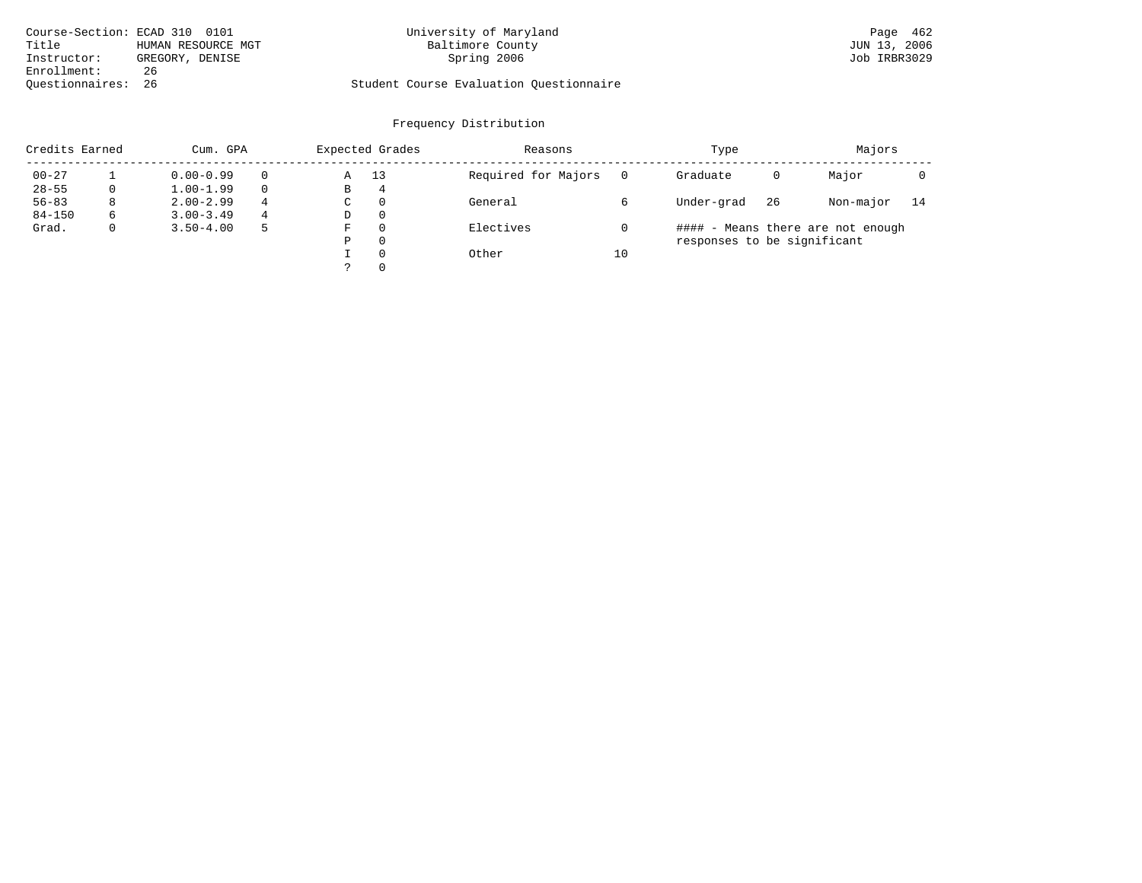| Course-Section: ECAD 310 0101 |                    | University of Maryland                  | Page 462     |  |
|-------------------------------|--------------------|-----------------------------------------|--------------|--|
| Title                         | HUMAN RESOURCE MGT | Baltimore County                        | JUN 13, 2006 |  |
| Instructor:                   | GREGORY, DENISE    | Spring 2006                             | Job IRBR3029 |  |
| Enrollment:                   | 26                 |                                         |              |  |
| Ouestionnaires: 26            |                    | Student Course Evaluation Questionnaire |              |  |

| Credits Earned |   | Cum. GPA      |          |   | Expected Grades | Reasons             |    | Type                        |    | Majors                            |    |
|----------------|---|---------------|----------|---|-----------------|---------------------|----|-----------------------------|----|-----------------------------------|----|
| $00 - 27$      |   | $0.00 - 0.99$ | $\Omega$ | Α | 13              | Required for Majors |    | Graduate                    | 0  | Major                             |    |
| $28 - 55$      | 0 | $1.00 - 1.99$ | $\Omega$ | В | 4               |                     |    |                             |    |                                   |    |
| $56 - 83$      | 8 | $2.00 - 2.99$ | 4        | С | 0               | General             |    | Under-grad                  | 26 | Non-major                         | 14 |
| $84 - 150$     | 6 | $3.00 - 3.49$ | 4        | D | 0               |                     |    |                             |    |                                   |    |
| Grad.          | 0 | $3.50 - 4.00$ | 5        | F | 0               | Electives           |    |                             |    | #### - Means there are not enough |    |
|                |   |               |          | Ρ | 0               |                     |    | responses to be significant |    |                                   |    |
|                |   |               |          |   | $\Omega$        | Other               | 10 |                             |    |                                   |    |
|                |   |               |          |   | 0               |                     |    |                             |    |                                   |    |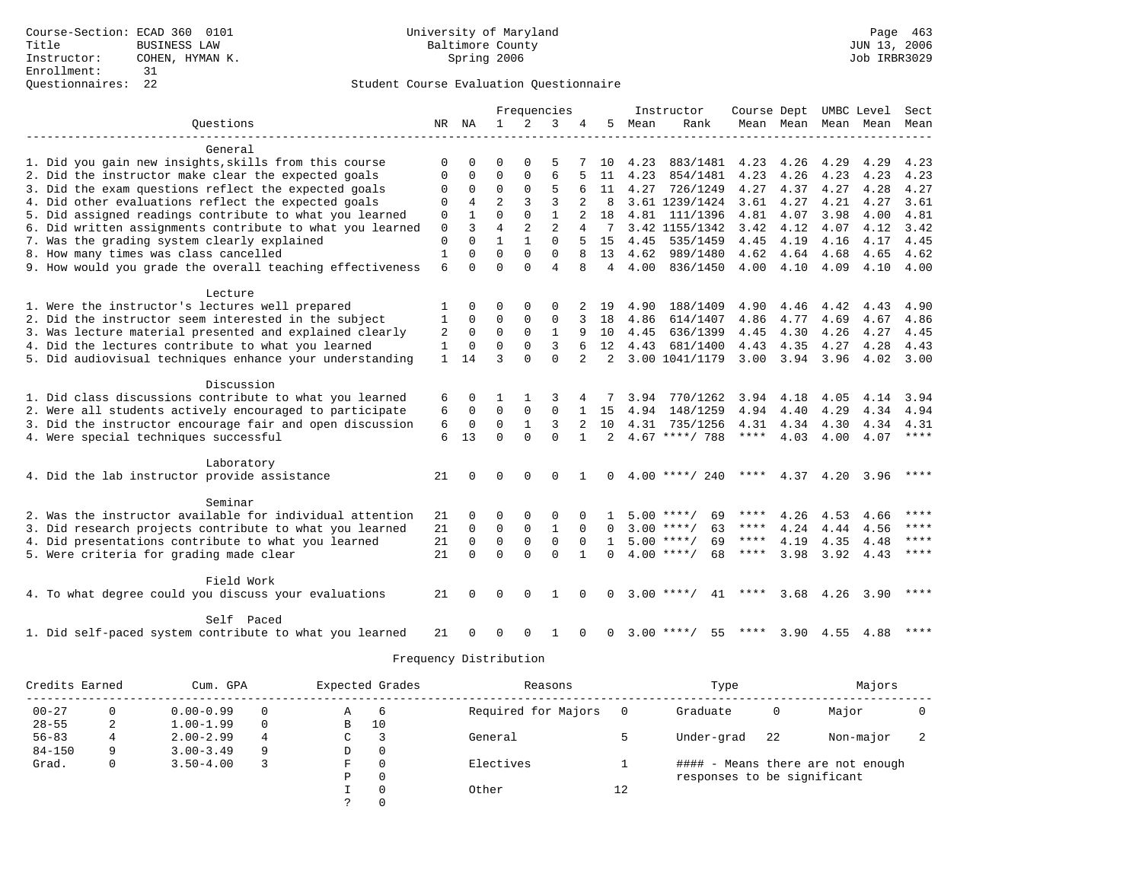|                                                           |              |              |                |                | Frequencies    |                |                |      | Instructor         | Course Dept UMBC Level |                |           |      | Sect        |
|-----------------------------------------------------------|--------------|--------------|----------------|----------------|----------------|----------------|----------------|------|--------------------|------------------------|----------------|-----------|------|-------------|
| Ouestions                                                 |              | NR NA        | $\mathbf{1}$   | $\overline{2}$ | 3              | 4              | 5              | Mean | Rank               |                        | Mean Mean Mean |           | Mean | Mean        |
|                                                           |              |              |                |                |                |                |                |      |                    |                        |                |           |      |             |
| General                                                   |              |              |                |                |                |                |                |      |                    |                        |                |           |      |             |
| 1. Did you gain new insights, skills from this course     | 0            | <sup>0</sup> | O              | $\Omega$       | 5              |                | 10             | 4.23 | 883/1481           | 4.23                   | 4.26           | 4.29      | 4.29 | 4.23        |
| 2. Did the instructor make clear the expected goals       | $\Omega$     | 0            | $\Omega$       | $\Omega$       | 6              |                | 11             | 4.23 | 854/1481           | 4.23                   | 4.26           | 4.23      | 4.23 | 4.23        |
| 3. Did the exam questions reflect the expected goals      | 0            | 0            | $\Omega$       | $\Omega$       | 5              | 6              | 11             | 4.27 | 726/1249           | 4.27                   | 4.37           | 4.27      | 4.28 | 4.27        |
| 4. Did other evaluations reflect the expected goals       | $\mathbf{0}$ | 4            | $\overline{2}$ | 3              | 3              | 2              | 8              |      | 3.61 1239/1424     | 3.61                   | 4.27           | 4.21      | 4.27 | 3.61        |
| 5. Did assigned readings contribute to what you learned   | $\mathbf 0$  |              | $\cap$         | $\Omega$       | $\mathbf{1}$   |                | 18             | 4.81 | 111/1396           | 4.81                   | 4.07           | 3.98      | 4.00 | 4.81        |
| 6. Did written assignments contribute to what you learned | 0            | 3            | $\overline{4}$ | 2              | 2              |                | 7              |      | 3.42 1155/1342     | 3.42                   | 4.12           | 4.07      | 4.12 | 3.42        |
| 7. Was the grading system clearly explained               | $\mathbf 0$  | $\Omega$     | 1              |                | $\Omega$       |                | 15             | 4.45 | 535/1459           | 4.45                   | 4.19           | 4.16      | 4.17 | 4.45        |
| 8. How many times was class cancelled                     | $1\,$        | $\Omega$     | $\Omega$       | $\Omega$       | $\Omega$       | 8              | 13             | 4.62 | 989/1480           | 4.62                   | 4.64           | 4.68      | 4.65 | 4.62        |
| 9. How would you grade the overall teaching effectiveness | 6            | $\Omega$     | $\Omega$       | $\Omega$       | $\overline{4}$ | 8              | $\overline{4}$ | 4.00 | 836/1450           | 4.00                   | 4.10           | 4.09      | 4.10 | 4.00        |
|                                                           |              |              |                |                |                |                |                |      |                    |                        |                |           |      |             |
| Lecture                                                   |              |              |                |                |                |                |                |      |                    |                        |                |           |      |             |
| 1. Were the instructor's lectures well prepared           | 1            | 0            | 0              | $\Omega$       | $\Omega$       |                | 19             | 4.90 | 188/1409           | 4.90                   | 4.46           | 4.42      | 4.43 | 4.90        |
| 2. Did the instructor seem interested in the subject      | 1            | 0            | $\Omega$       | $\Omega$       | $\mathbf 0$    | 3              | 18             | 4.86 | 614/1407           | 4.86                   | 4.77           | 4.69      | 4.67 | 4.86        |
| 3. Was lecture material presented and explained clearly   | 2            | 0            | $\Omega$       | $\Omega$       | $\mathbf{1}$   | 9              | 10             | 4.45 | 636/1399           | 4.45                   | 4.30           | 4.26      | 4.27 | 4.45        |
| 4. Did the lectures contribute to what you learned        | 1            | 0            | $\Omega$       | $\Omega$       | 3              | 6              | 12             | 4.43 | 681/1400           | 4.43                   | 4.35           | 4.27      | 4.28 | 4.43        |
| 5. Did audiovisual techniques enhance your understanding  |              | 1 14         | ζ              | $\Omega$       | $\Omega$       | $\overline{a}$ | $\overline{2}$ |      | 3.00 1041/1179     | 3.00                   | 3.94           | 3.96      | 4.02 | 3.00        |
|                                                           |              |              |                |                |                |                |                |      |                    |                        |                |           |      |             |
| Discussion                                                |              |              |                |                |                |                |                |      |                    |                        |                |           |      |             |
| 1. Did class discussions contribute to what you learned   | 6            | 0            | 1              |                |                |                |                | 3.94 | 770/1262           | 3.94                   | 4.18           | 4.05      | 4.14 | 3.94        |
| 2. Were all students actively encouraged to participate   | 6            | 0            | $\Omega$       | $\mathbf 0$    | $\mathbf 0$    |                | 15             |      | 4.94 148/1259      | 4.94                   | 4.40           | 4.29      | 4.34 | 4.94        |
| 3. Did the instructor encourage fair and open discussion  | 6            | 0            | $\Omega$       | $\mathbf{1}$   | 3              |                | 10             |      | 4.31 735/1256      | 4.31                   | 4.34           | 4.30      | 4.34 | 4.31        |
| 4. Were special techniques successful                     | 6            | 13           | $\Omega$       | $\Omega$       | $\Omega$       | $\mathbf{1}$   | $2^{1}$        |      | $4.67$ ****/ 788   | $***$ * * *            | 4.03           | 4.00      | 4.07 | ****        |
|                                                           |              |              |                |                |                |                |                |      |                    |                        |                |           |      |             |
| Laboratory                                                |              |              |                |                |                |                |                |      |                    |                        |                |           |      |             |
| 4. Did the lab instructor provide assistance              | 21           | $\Omega$     | $\Omega$       | $\Omega$       | $\Omega$       |                | 0              |      | $4.00$ ****/ 240   | ****                   |                | 4.37 4.20 | 3.96 | $***$ * * * |
|                                                           |              |              |                |                |                |                |                |      |                    |                        |                |           |      |             |
| Seminar                                                   |              |              |                |                |                |                |                |      |                    |                        |                |           |      |             |
| 2. Was the instructor available for individual attention  | 21           | $\Omega$     | 0              | 0              | $\mathbf 0$    | $\Omega$       |                |      | $5.00$ ****/<br>69 | ****                   | 4.26           | 4.53      | 4.66 | ****        |
| 3. Did research projects contribute to what you learned   | 21           | $\mathbf 0$  | $\mathbf 0$    | 0              | $\mathbf{1}$   | $\Omega$       | $\Omega$       | 3.00 | 63<br>****/        | ****                   | 4.24           | 4.44      | 4.56 | $***$       |
| 4. Did presentations contribute to what you learned       | 21           | $\Omega$     | $\mathbf 0$    | $\Omega$       | $\Omega$       | $\Omega$       | $\mathbf{1}$   |      | $5.00$ ****/<br>69 | $***$ * * *            | 4.19           | 4.35      | 4.48 | $* * * *$   |
| 5. Were criteria for grading made clear                   | 21           | $\Omega$     | $\Omega$       | $\Omega$       | $\Omega$       | 1              | 0              |      | $4.00$ ****/<br>68 | ****                   | 3.98           | 3.92      | 4.43 | ****        |
|                                                           |              |              |                |                |                |                |                |      |                    |                        |                |           |      |             |
| Field Work                                                |              |              |                |                |                |                |                |      |                    |                        |                |           |      |             |
| 4. To what degree could you discuss your evaluations      | 21           | 0            | 0              | $\mathbf 0$    | 1              | $\Omega$       | 0              |      | $3.00$ ****/<br>41 | ****                   | 3.68           | 4.26      | 3.90 | $***$       |
|                                                           |              |              |                |                |                |                |                |      |                    |                        |                |           |      |             |
| Self Paced                                                |              |              |                |                |                |                |                |      |                    |                        |                |           |      |             |
| 1. Did self-paced system contribute to what you learned   | 21           |              | 0              | $\Omega$       | 1              | 0              | $\Omega$       |      | $3.00$ ****/<br>55 | ****                   | 3.90           | 4.55      | 4.88 | ****        |
|                                                           |              |              |                |                |                |                |                |      |                    |                        |                |           |      |             |

| Credits Earned |   | Cum. GPA      |          |    | Expected Grades | Reasons             |    | Type                        | Majors |                                   |  |
|----------------|---|---------------|----------|----|-----------------|---------------------|----|-----------------------------|--------|-----------------------------------|--|
| $00 - 27$      |   | $0.00 - 0.99$ | 0        | A  | $\overline{6}$  | Required for Majors |    | Graduate                    | 0      | Major                             |  |
| $28 - 55$      |   | $1.00 - 1.99$ | $\Omega$ | B  | 10              |                     |    |                             |        |                                   |  |
| $56 - 83$      |   | $2.00 - 2.99$ | 4        | C. |                 | General             |    | Under-grad                  | 22     | Non-major                         |  |
| $84 - 150$     | 9 | $3.00 - 3.49$ | 9        | D  | $\Omega$        |                     |    |                             |        |                                   |  |
| Grad.          | 0 | $3.50 - 4.00$ |          | F  |                 | Electives           |    |                             |        | #### - Means there are not enough |  |
|                |   |               |          | Ρ  |                 |                     |    | responses to be significant |        |                                   |  |
|                |   |               |          |    |                 | Other               | 12 |                             |        |                                   |  |
|                |   |               |          |    |                 |                     |    |                             |        |                                   |  |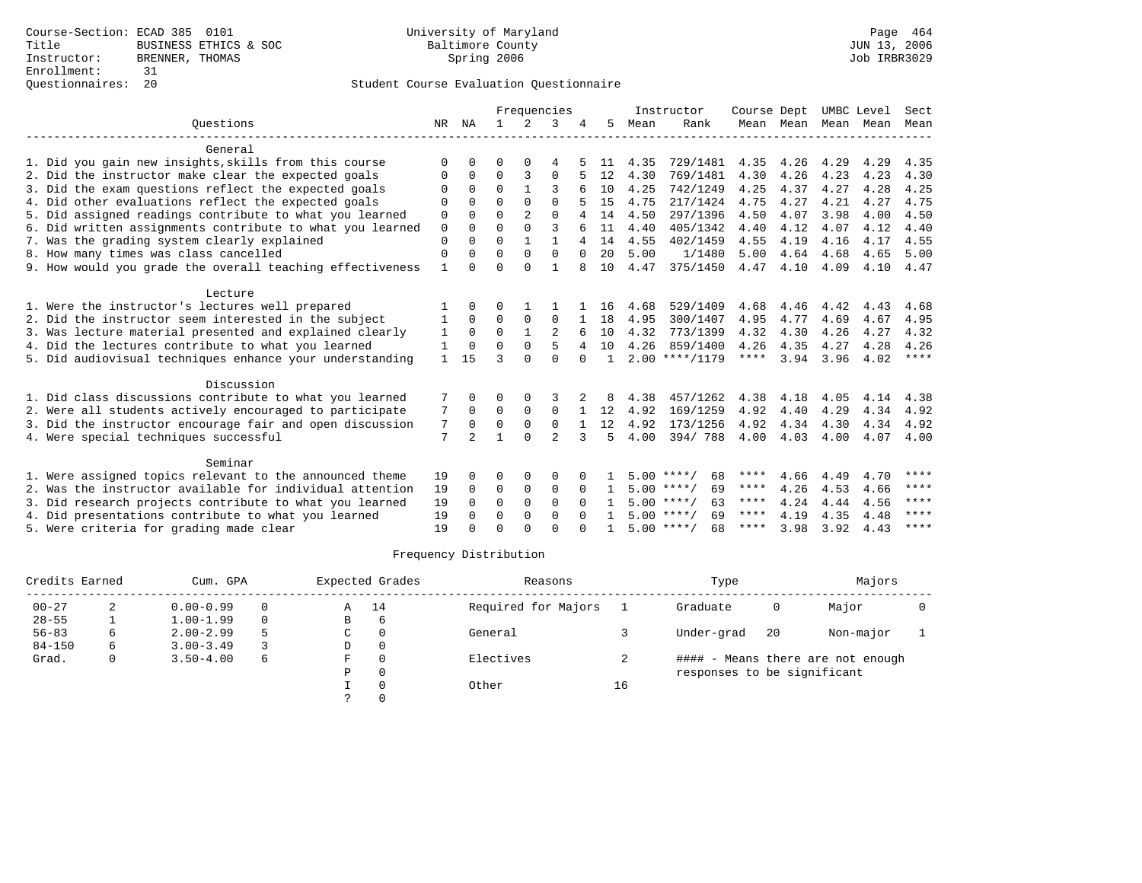|                                                           |              |                |              |               | Frequencies    |          |              |      | Instructor         | Course Dept |           | UMBC Level |      | Sect        |
|-----------------------------------------------------------|--------------|----------------|--------------|---------------|----------------|----------|--------------|------|--------------------|-------------|-----------|------------|------|-------------|
| Ouestions                                                 | NR           | ΝA             | $\mathbf{1}$ | $\mathcal{L}$ | 3              |          | 5.           | Mean | Rank               |             | Mean Mean | Mean       | Mean | Mean        |
| General                                                   |              |                |              |               |                |          |              |      |                    |             |           |            |      |             |
| 1. Did you gain new insights, skills from this course     | $\Omega$     | U              | O            | $\Omega$      | 4              |          | 11           | 4.35 | 729/1481           | 4.35        | 4.26      | 4.29       | 4.29 | 4.35        |
| 2. Did the instructor make clear the expected goals       | O            | $\Omega$       | $\Omega$     | 3             | $\mathbf 0$    |          | 12           | 4.30 | 769/1481           | 4.30        | 4.26      | 4.23       | 4.23 | 4.30        |
| 3. Did the exam questions reflect the expected goals      | $\Omega$     | $\Omega$       | $\Omega$     |               | 3              |          | 10           | 4.25 | 742/1249           | 4.25        | 4.37      | 4.27       | 4.28 | 4.25        |
| 4. Did other evaluations reflect the expected goals       | $\Omega$     | U              | $\Omega$     | $\Omega$      | $\cap$         |          | 15           | 4.75 | 217/1424           | 4.75        | 4.27      | 4.21       | 4.27 | 4.75        |
| 5. Did assigned readings contribute to what you learned   | 0            | $\Omega$       | $\Omega$     | 2             | $\Omega$       | 4        | 14           | 4.50 | 297/1396           | 4.50        | 4.07      | 3.98       | 4.00 | 4.50        |
| 6. Did written assignments contribute to what you learned | $\mathbf 0$  | $\Omega$       | $\Omega$     | $\Omega$      | 3              |          | 11           | 4.40 | 405/1342           | 4.40        | 4.12      | 4.07       | 4.12 | 4.40        |
| 7. Was the grading system clearly explained               | $\mathbf{0}$ | $\Omega$       | $\Omega$     | $\mathbf{1}$  | 1              |          | 14           | 4.55 | 402/1459           | 4.55        | 4.19      | 4.16       | 4.17 | 4.55        |
| 8. How many times was class cancelled                     | $\mathbf 0$  | O              | $\Omega$     | $\Omega$      | $\Omega$       | $\Omega$ | 20           | 5.00 | 1/1480             | 5.00        | 4.64      | 4.68       | 4.65 | 5.00        |
| 9. How would you grade the overall teaching effectiveness | $\mathbf{1}$ | $\cap$         | $\Omega$     | $\Omega$      | $\mathbf{1}$   | 8        | 10           | 4.47 | 375/1450           | 4.47        | 4.10      | 4.09       | 4.10 | 4.47        |
| Lecture                                                   |              |                |              |               |                |          |              |      |                    |             |           |            |      |             |
| 1. Were the instructor's lectures well prepared           |              | 0              | 0            |               |                |          | 16           | 4.68 | 529/1409           | 4.68        | 4.46      | 4.42       | 4.43 | 4.68        |
| 2. Did the instructor seem interested in the subject      | 1            | $\Omega$       | $\Omega$     | $\Omega$      | $\Omega$       |          | 18           | 4.95 | 300/1407           | 4.95        | 4.77      | 4.69       | 4.67 | 4.95        |
| 3. Was lecture material presented and explained clearly   | 1            | 0              | $\mathbf 0$  |               |                |          | 10           | 4.32 | 773/1399           | 4.32        | 4.30      | 4.26       | 4.27 | 4.32        |
| 4. Did the lectures contribute to what you learned        | 1            | $\Omega$       | $\Omega$     | $\Omega$      | 5              |          | 10           | 4.26 | 859/1400           | 4.26        | 4.35      | 4.27       | 4.28 | 4.26        |
| 5. Did audiovisual techniques enhance your understanding  | $\mathbf{1}$ | 15             | २            | $\cap$        | $\cap$         |          | $\mathbf{1}$ |      | $2.00$ ****/1179   | ****        | 3.94      | 3.96       | 4.02 | $***$ * * * |
| Discussion                                                |              |                |              |               |                |          |              |      |                    |             |           |            |      |             |
| 1. Did class discussions contribute to what you learned   | 7            | <sup>0</sup>   | O            | 0             | 3              |          | 8            | 4.38 | 457/1262           | 4.38        | 4.18      | 4.05       | 4.14 | 4.38        |
| 2. Were all students actively encouraged to participate   | 7            | $\Omega$       | $\Omega$     | $\mathbf 0$   | $\Omega$       |          | 12           | 4.92 | 169/1259           | 4.92        | 4.40      | 4.29       | 4.34 | 4.92        |
| 3. Did the instructor encourage fair and open discussion  | 7            | 0              | $\Omega$     | 0             | $\Omega$       |          | 12           | 4.92 | 173/1256           | 4.92        | 4.34      | 4.30       | 4.34 | 4.92        |
| 4. Were special techniques successful                     | 7            | $\mathfrak{D}$ | 1            | $\Omega$      | $\overline{2}$ | 3        | 5            | 4.00 | 394/788            | 4.00        | 4.03      | 4.00       | 4.07 | 4.00        |
| Seminar                                                   |              |                |              |               |                |          |              |      |                    |             |           |            |      |             |
| 1. Were assigned topics relevant to the announced theme   | 19           | 0              | 0            | $\Omega$      | $\Omega$       |          |              |      | $5.00$ ****/<br>68 | ****        | 4.66      | 4.49       | 4.70 | ****        |
| 2. Was the instructor available for individual attention  | 19           | 0              | 0            | $\mathbf 0$   | $\mathbf 0$    | $\Omega$ |              |      | $5.00$ ****/<br>69 | ****        | 4.26      | 4.53       | 4.66 | ****        |
| 3. Did research projects contribute to what you learned   | 19           | $\Omega$       | $\mathbf 0$  | $\mathbf 0$   | $\mathbf 0$    |          |              |      | $5.00$ ****/<br>63 | ****        | 4.24      | 4.44       | 4.56 | ****        |
| 4. Did presentations contribute to what you learned       | 19           | $\Omega$       | $\Omega$     | $\Omega$      | $\Omega$       | $\cap$   |              |      | $5.00$ ****/<br>69 | ****        | 4.19      | 4.35       | 4.48 | ****        |
| 5. Were criteria for grading made clear                   | 19           |                | $\Omega$     | $\cap$        | $\Omega$       |          |              |      | $5.00$ ****/<br>68 | ****        | 3.98      | 3.92       | 4.43 | $***$ * * * |

| Credits Earned |   | Cum. GPA      |          | Expected Grades | Reasons |                     | Type |                             | Majors |                                   |  |
|----------------|---|---------------|----------|-----------------|---------|---------------------|------|-----------------------------|--------|-----------------------------------|--|
| $00 - 27$      | 2 | $0.00 - 0.99$ | $\Omega$ | A               | 14      | Required for Majors |      | Graduate                    | 0      | Major                             |  |
| $28 - 55$      |   | $1.00 - 1.99$ | $\Omega$ | В               | 6       |                     |      |                             |        |                                   |  |
| $56 - 83$      | 6 | $2.00 - 2.99$ |          | C               |         | General             |      | Under-grad                  | 20     | Non-major                         |  |
| $84 - 150$     | 6 | $3.00 - 3.49$ |          | D               |         |                     |      |                             |        |                                   |  |
| Grad.          | 0 | $3.50 - 4.00$ | 6        | F               |         | Electives           | ∠    |                             |        | #### - Means there are not enough |  |
|                |   |               |          | D               |         |                     |      | responses to be significant |        |                                   |  |
|                |   |               |          |                 |         | Other               | 16   |                             |        |                                   |  |
|                |   |               |          |                 |         |                     |      |                             |        |                                   |  |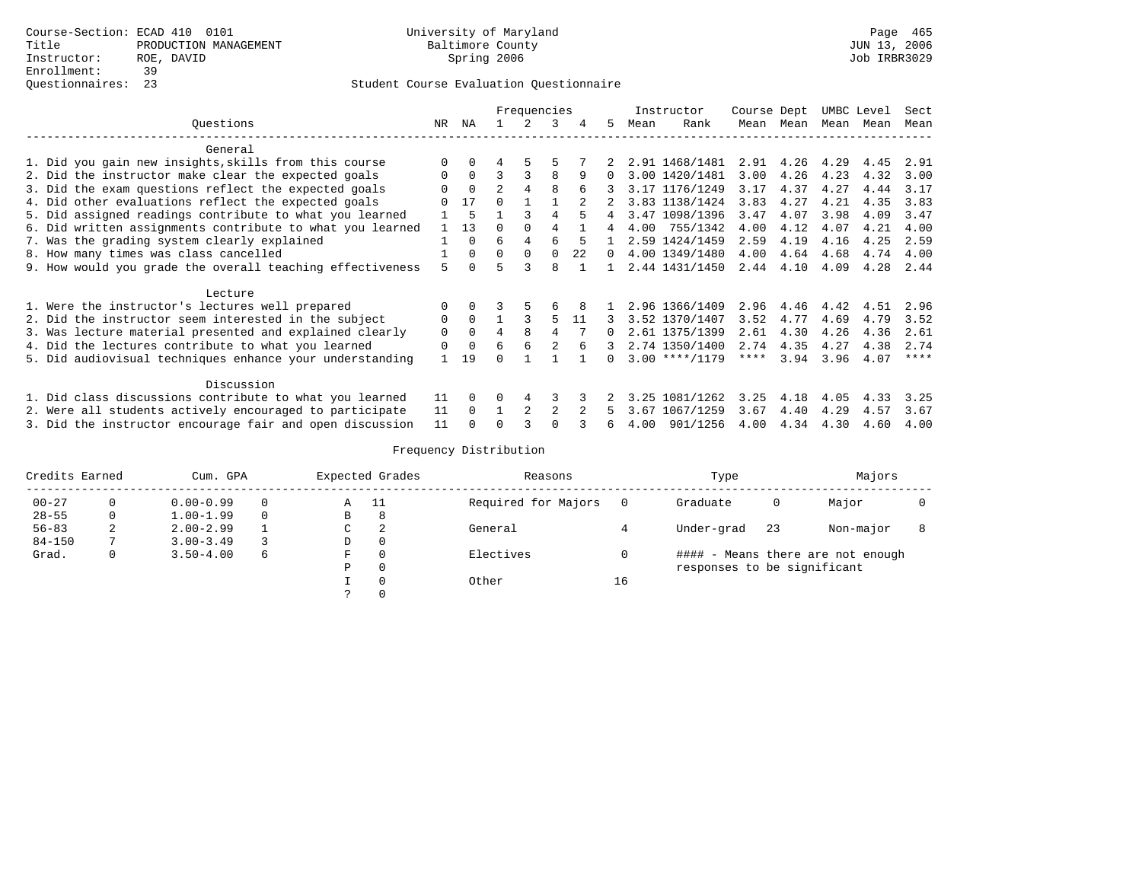## Questionnaires: 23 Student Course Evaluation Questionnaire

|                                                           |             |          |                | Frequencies |              |     |               |      | Instructor                           | Course Dept |           |           | UMBC Level | Sect |
|-----------------------------------------------------------|-------------|----------|----------------|-------------|--------------|-----|---------------|------|--------------------------------------|-------------|-----------|-----------|------------|------|
| Questions                                                 | NR          | NA       |                | 2           | 3            | 4   | 5             | Mean | Rank                                 |             | Mean Mean | Mean Mean |            | Mean |
| General                                                   |             |          |                |             |              |     |               |      |                                      |             |           |           |            |      |
| 1. Did you gain new insights, skills from this course     |             | $\Omega$ |                |             |              |     |               |      | 2 2.91 1468/1481 2.91 4.26 4.29 4.45 |             |           |           |            | 2.91 |
| 2. Did the instructor make clear the expected goals       | $\Omega$    | $\Omega$ | 3              | 3           | 8            | 9   | $\Omega$      |      | 3.00 1420/1481                       | 3.00        | 4.26      | 4.23      | 4.32       | 3.00 |
| 3. Did the exam questions reflect the expected goals      |             | $\Omega$ | $\mathfrak{D}$ | 4           | 8            | 6   | 3             |      | 3.17 1176/1249                       | 3.17        | 4.37      | 4.27      | 4.44       | 3.17 |
| 4. Did other evaluations reflect the expected goals       |             | 17       | $\cap$         |             |              |     |               |      | 3.83 1138/1424                       | 3.83        | 4.27      | 4.21      | 4.35       | 3.83 |
| 5. Did assigned readings contribute to what you learned   |             | 5        |                | २           |              |     |               |      | 3.47 1098/1396                       | 3.47        | 4.07      | 3.98      | 4.09       | 3.47 |
| 6. Did written assignments contribute to what you learned | 1           | 13       | $\Omega$       |             |              |     |               | 4.00 | 755/1342                             | 4.00        | 4.12      | 4.07      | 4.21       | 4.00 |
| 7. Was the grading system clearly explained               |             | $\Omega$ | 6              | 4           |              |     | $\mathbf{1}$  |      | 2.59 1424/1459                       | 2.59        | 4.19      | 4.16      | 4.25       | 2.59 |
| 8. How many times was class cancelled                     |             | $\Omega$ | $\Omega$       | $\Omega$    | $\Omega$     | 2.2 | $\Omega$      |      | 4.00 1349/1480                       | 4.00        | 4.64      | 4.68      | 4.74       | 4.00 |
| 9. How would you grade the overall teaching effectiveness | 5           | $\Omega$ | 5              |             | $\mathsf{R}$ |     | $\mathbf{1}$  |      | 2.44 1431/1450                       |             | 2.44 4.10 | 4.09      | 4.28       | 2.44 |
| Lecture                                                   |             |          |                |             |              |     |               |      |                                      |             |           |           |            |      |
| 1. Were the instructor's lectures well prepared           |             | $\Omega$ | 3              | 5           | 6            |     |               |      | 2.96 1366/1409                       | 2.96        | 4.46      | 4.42      | 4.51       | 2.96 |
| 2. Did the instructor seem interested in the subject      | 0           | $\Omega$ |                | 3           | 5            | 11  | 3.            |      | 3.52 1370/1407                       | 3.52        | 4.77      | 4.69      | 4.79       | 3.52 |
| 3. Was lecture material presented and explained clearly   | $\mathbf 0$ | $\Omega$ | 4              | 8           | 4            |     | $\Omega$      |      | 2.61 1375/1399                       | 2.61        | 4.30      | 4.26      | 4.36       | 2.61 |
| 4. Did the lectures contribute to what you learned        | 0           | $\Omega$ | 6              | 6           |              |     | $\mathcal{L}$ |      | 2.74 1350/1400                       | 2.74        | 4.35      | 4.27      | 4.38       | 2.74 |
| 5. Did audiovisual techniques enhance your understanding  |             | 19       |                |             |              |     |               |      | $3.00$ ****/1179                     | ****        | 3.94      | 3.96      | 4.07       | **** |
| Discussion                                                |             |          |                |             |              |     |               |      |                                      |             |           |           |            |      |
| 1. Did class discussions contribute to what you learned   | 11          | $\Omega$ | $\Omega$       | 4           |              |     |               |      | 3.25 1081/1262                       | 3.25        | 4.18      | 4.05      | 4.33       | 3.25 |
| 2. Were all students actively encouraged to participate   | 11          | $\Omega$ | $\mathbf{1}$   | 2           | 2            |     |               | 3.67 | 1067/1259                            | 3.67        | 4.40      | 4.29      | 4.57       | 3.67 |
| 3. Did the instructor encourage fair and open discussion  | 11          |          | 0              |             | <sup>n</sup> |     | б.            | 4.00 | 901/1256                             | 4.00        | 4.34      | 4.30      | 4.60       | 4.00 |

| Credits Earned |   | Cum. GPA      |          |   | Expected Grades | Reasons             |    | Type                        | Majors |                                   |  |
|----------------|---|---------------|----------|---|-----------------|---------------------|----|-----------------------------|--------|-----------------------------------|--|
| $00 - 27$      |   | $0.00 - 0.99$ | $\Omega$ | Α | - 11            | Required for Majors |    | Graduate                    | 0      | Major                             |  |
| $28 - 55$      | 0 | $1.00 - 1.99$ | $\Omega$ | B | 8               |                     |    |                             |        |                                   |  |
| $56 - 83$      | ∠ | $2.00 - 2.99$ |          | C | 2               | General             |    | Under-grad                  | 23     | Non-major                         |  |
| $84 - 150$     |   | $3.00 - 3.49$ |          | D |                 |                     |    |                             |        |                                   |  |
| Grad.          | 0 | $3.50 - 4.00$ | 6        | F |                 | Electives           |    |                             |        | #### - Means there are not enough |  |
|                |   |               |          | P |                 |                     |    | responses to be significant |        |                                   |  |
|                |   |               |          |   |                 | Other               | 16 |                             |        |                                   |  |
|                |   |               |          |   |                 |                     |    |                             |        |                                   |  |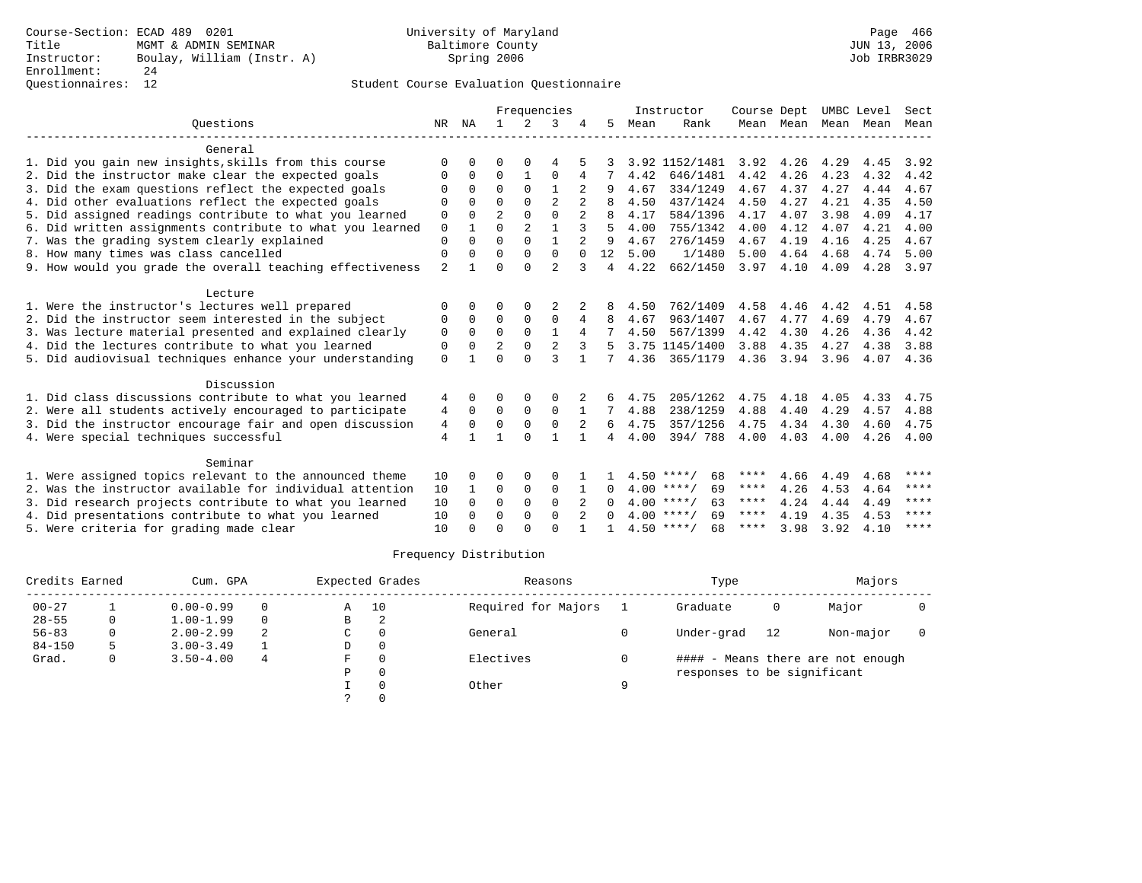# Questionnaires: 12 Student Course Evaluation Questionnaire

|                                                           |                |              |                |                | Frequencies    |                |          | Instructor |                    | Course Dept |           | UMBC Level |      | Sect |
|-----------------------------------------------------------|----------------|--------------|----------------|----------------|----------------|----------------|----------|------------|--------------------|-------------|-----------|------------|------|------|
| Ouestions                                                 | NR             | ΝA           | $\mathbf{1}$   | 2              | 3              |                | 5        | Mean       | Rank               |             | Mean Mean | Mean Mean  |      | Mean |
| General                                                   |                |              |                |                |                |                |          |            |                    |             |           |            |      |      |
| 1. Did you gain new insights, skills from this course     | $\Omega$       | $\Omega$     | O              | $\Omega$       | 4              |                |          |            | 3.92 1152/1481     | 3.92        | 4.26      | 4.29       | 4.45 | 3.92 |
| 2. Did the instructor make clear the expected goals       | O              | $\Omega$     | $\Omega$       | 1              | $\mathbf 0$    | 4              |          | 4.42       | 646/1481           | 4.42        | 4.26      | 4.23       | 4.32 | 4.42 |
| 3. Did the exam questions reflect the expected goals      | O              | $\Omega$     | $\Omega$       | $\Omega$       | $\mathbf{1}$   |                |          | 4.67       | 334/1249           | 4.67        | 4.37      | 4.27       | 4.44 | 4.67 |
| 4. Did other evaluations reflect the expected goals       | 0              | $\Omega$     | $\Omega$       | $\Omega$       | $\mathfrak{D}$ |                |          | 4.50       | 437/1424           | 4.50        | 4.27      | 4.21       | 4.35 | 4.50 |
| 5. Did assigned readings contribute to what you learned   | 0              | $\Omega$     | $\overline{a}$ | $\Omega$       | $\Omega$       |                | 8        | 4.17       | 584/1396           | 4.17        | 4.07      | 3.98       | 4.09 | 4.17 |
| 6. Did written assignments contribute to what you learned | 0              | $\mathbf{1}$ | $\Omega$       | $\overline{a}$ | $\mathbf{1}$   | 3              | 5        | 4.00       | 755/1342           | 4.00        | 4.12      | 4.07       | 4.21 | 4.00 |
| 7. Was the grading system clearly explained               | $\mathbf{0}$   | $\Omega$     | $\Omega$       | $\Omega$       | $\mathbf{1}$   |                | 9        | 4.67       | 276/1459           | 4.67        | 4.19      | 4.16       | 4.25 | 4.67 |
| 8. How many times was class cancelled                     | $\mathbf 0$    | $\Omega$     | $\Omega$       | $\Omega$       | $\Omega$       | $\Omega$       | 12       | 5.00       | 1/1480             | 5.00        | 4.64      | 4.68       | 4.74 | 5.00 |
| 9. How would you grade the overall teaching effectiveness | $\overline{a}$ | 1            | $\Omega$       | $\cap$         | $\overline{a}$ | 3              | 4        | 4.22       | 662/1450           | 3.97        | 4.10      | 4.09       | 4.28 | 3.97 |
| Lecture                                                   |                |              |                |                |                |                |          |            |                    |             |           |            |      |      |
| 1. Were the instructor's lectures well prepared           |                |              | O              |                |                |                | 8        | 4.50       | 762/1409           | 4.58        | 4.46      | 4.42       | 4.51 | 4.58 |
| 2. Did the instructor seem interested in the subject      | 0              | $\Omega$     | $\Omega$       | $\Omega$       | $\Omega$       | 4              | 8        | 4.67       | 963/1407           | 4.67        | 4.77      | 4.69       | 4.79 | 4.67 |
| 3. Was lecture material presented and explained clearly   | $\mathbf 0$    | $\mathbf 0$  | $\mathbf 0$    | $\mathbf 0$    | $\mathbf{1}$   | 4              |          | 4.50       | 567/1399           | 4.42        | 4.30      | 4.26       | 4.36 | 4.42 |
| 4. Did the lectures contribute to what you learned        | 0              | $\Omega$     | $\overline{a}$ | $\Omega$       | $\overline{2}$ | 3              | 5        |            | 3.75 1145/1400     | 3.88        | 4.35      | 4.27       | 4.38 | 3.88 |
| 5. Did audiovisual techniques enhance your understanding  | $\Omega$       |              | $\Omega$       | $\cap$         | ς              |                |          | 4.36       | 365/1179           | 4.36        | 3.94      | 3.96       | 4.07 | 4.36 |
| Discussion                                                |                |              |                |                |                |                |          |            |                    |             |           |            |      |      |
| 1. Did class discussions contribute to what you learned   | 4              | $\Omega$     | O              | 0              | 0              | 2              | 6        | 4.75       | 205/1262           | 4.75        | 4.18      | 4.05       | 4.33 | 4.75 |
| 2. Were all students actively encouraged to participate   | 4              | $\Omega$     | $\Omega$       | $\Omega$       | $\Omega$       | $\mathbf{1}$   | 7        | 4.88       | 238/1259           | 4.88        | 4.40      | 4.29       | 4.57 | 4.88 |
| 3. Did the instructor encourage fair and open discussion  | 4              | $\Omega$     | $\Omega$       | $\Omega$       | $\Omega$       |                | 6        | 4.75       | 357/1256           | 4.75        | 4.34      | 4.30       | 4.60 | 4.75 |
| 4. Were special techniques successful                     | 4              | 1            | 1              | $\Omega$       | $\mathbf{1}$   | $\mathbf{1}$   | 4        | 4.00       | 394/788            | 4.00        | 4.03      | 4.00       | 4.26 | 4.00 |
| Seminar                                                   |                |              |                |                |                |                |          |            |                    |             |           |            |      |      |
| 1. Were assigned topics relevant to the announced theme   | 10             | 0            | 0              | $\Omega$       | $\Omega$       |                |          |            | $4.50$ ****/<br>68 | ****        | 4.66      | 4.49       | 4.68 | **** |
| 2. Was the instructor available for individual attention  |                | 1            | $\Omega$       | $\Omega$       | $\Omega$       | $\mathbf{1}$   | $\Omega$ |            | $4.00$ ****/<br>69 | ****        | 4.26      | 4.53       | 4.64 | **** |
| 3. Did research projects contribute to what you learned   | 10             | $\Omega$     | $\mathbf 0$    | $\mathbf 0$    | $\Omega$       | 2              | $\Omega$ |            | $4.00$ ****/<br>63 | ****        | 4.24      | 4.44       | 4.49 | **** |
| 4. Did presentations contribute to what you learned       | 10             | $\Omega$     | $\Omega$       | $\Omega$       | $\Omega$       | $\overline{a}$ | $\cap$   |            | $4.00$ ****/<br>69 | $***$ * *   | 4.19      | 4.35       | 4.53 | **** |
| 5. Were criteria for grading made clear                   | 10             |              | ∩              | ∩              | $\cap$         |                |          |            | $4.50$ ****/<br>68 | ****        | 3.98      | 3.92       | 4.10 | **** |

| Credits Earned |   | Cum. GPA      |    |   | Expected Grades | Reasons             |   | Type                        | Majors |                                   |  |
|----------------|---|---------------|----|---|-----------------|---------------------|---|-----------------------------|--------|-----------------------------------|--|
| $00 - 27$      |   | $0.00 - 0.99$ |    | A | 10              | Required for Majors |   | Graduate                    | 0      | Major                             |  |
| $28 - 55$      | 0 | $1.00 - 1.99$ |    | B | 2               |                     |   |                             |        |                                   |  |
| $56 - 83$      |   | $2.00 - 2.99$ | -2 | C | 0               | General             |   | Under-grad                  | -12    | Non-major                         |  |
| $84 - 150$     |   | $3.00 - 3.49$ |    | D | 0               |                     |   |                             |        |                                   |  |
| Grad.          | 0 | $3.50 - 4.00$ | 4  | F | $\Omega$        | Electives           |   |                             |        | #### - Means there are not enough |  |
|                |   |               |    | Ρ | 0               |                     |   | responses to be significant |        |                                   |  |
|                |   |               |    |   | $\Omega$        | Other               | Q |                             |        |                                   |  |
|                |   |               |    |   |                 |                     |   |                             |        |                                   |  |